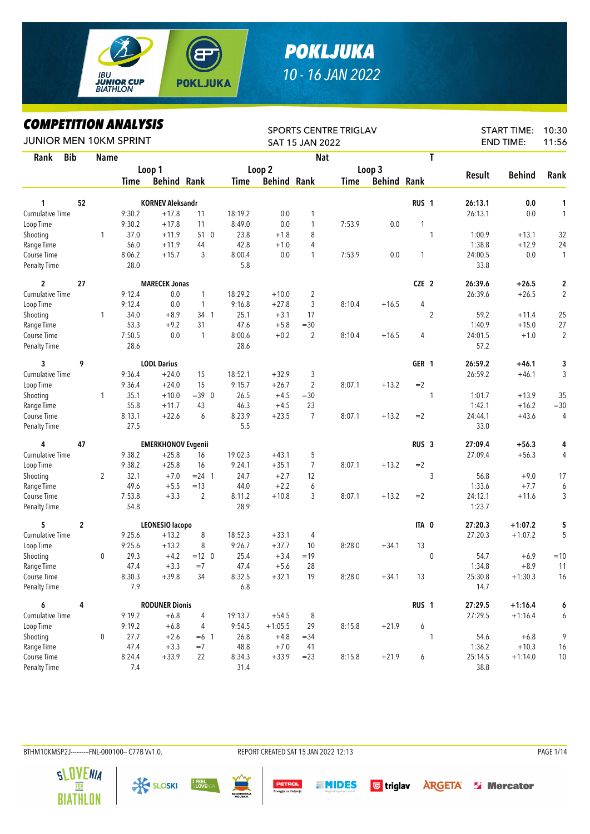

## *POKLJUKA 10 - 16 JAN 2022*

*COMPETITION ANALYSIS*

| LUMPEIIIIUN ANALIƏIƏ<br>JUNIOR MEN 10KM SPRINT |                |              |        |                           |                |         |                    | SAT 15 JAN 2022 | SPORTS CENTRE TRIGLAV |                    |                  |               | <b>START TIME:</b><br><b>END TIME:</b> | 10:30<br>11:56 |
|------------------------------------------------|----------------|--------------|--------|---------------------------|----------------|---------|--------------------|-----------------|-----------------------|--------------------|------------------|---------------|----------------------------------------|----------------|
| Rank                                           | <b>Bib</b>     | <b>Name</b>  |        |                           |                |         |                    | <b>Nat</b>      |                       |                    | T                |               |                                        |                |
|                                                |                |              |        | Loop 1                    |                |         | Loop 2             |                 |                       | Loop 3             |                  |               |                                        |                |
|                                                |                |              | Time   | <b>Behind Rank</b>        |                | Time    | <b>Behind Rank</b> |                 | <b>Time</b>           | <b>Behind Rank</b> |                  | <b>Result</b> | <b>Behind</b>                          | Rank           |
| 1                                              | 52             |              |        | <b>KORNEV Aleksandr</b>   |                |         |                    |                 |                       |                    | RUS <sub>1</sub> | 26:13.1       | 0.0                                    | 1              |
| Cumulative Time                                |                |              | 9:30.2 | $+17.8$                   | 11             | 18:19.2 | $0.0\,$            | 1               |                       |                    |                  | 26:13.1       | 0.0                                    | $\mathbf{1}$   |
| Loop Time                                      |                |              | 9:30.2 | $+17.8$                   | 11             | 8:49.0  | 0.0                | 1               | 7:53.9                | 0.0                | 1                |               |                                        |                |
| Shooting                                       |                | 1            | 37.0   | $+11.9$                   | 510            | 23.8    | $+1.8$             | 8               |                       |                    | 1                | 1:00.9        | $+13.1$                                | 32             |
| Range Time                                     |                |              | 56.0   | $+11.9$                   | 44             | 42.8    | $+1.0$             | 4               |                       |                    |                  | 1:38.8        | $+12.9$                                | 24             |
| Course Time                                    |                |              | 8:06.2 | $+15.7$                   | 3              | 8:00.4  | 0.0                | 1               | 7:53.9                | 0.0                | 1                | 24:00.5       | $0.0\,$                                | $\mathbf{1}$   |
| Penalty Time                                   |                |              | 28.0   |                           |                | 5.8     |                    |                 |                       |                    |                  | 33.8          |                                        |                |
| $\overline{2}$                                 | 27             |              |        | <b>MARECEK Jonas</b>      |                |         |                    |                 |                       |                    | CZE <sub>2</sub> | 26:39.6       | $+26.5$                                | 2              |
| Cumulative Time                                |                |              | 9:12.4 | 0.0                       | $\mathbf{1}$   | 18:29.2 | $+10.0$            | $\overline{2}$  |                       |                    |                  | 26:39.6       | $+26.5$                                | $\overline{2}$ |
| Loop Time                                      |                |              | 9:12.4 | 0.0                       | 1              | 9:16.8  | $+27.8$            | 3               | 8:10.4                | $+16.5$            | 4                |               |                                        |                |
| Shooting                                       |                | $\mathbf{1}$ | 34.0   | $+8.9$                    | 34 1           | 25.1    | $+3.1$             | 17              |                       |                    | $\overline{2}$   | 59.2          | $+11.4$                                | 25             |
| Range Time                                     |                |              | 53.3   | $+9.2$                    | 31             | 47.6    | $+5.8$             | $=30$           |                       |                    |                  | 1:40.9        | $+15.0$                                | 27             |
| Course Time                                    |                |              | 7:50.5 | 0.0                       | $\overline{1}$ | 8:00.6  | $+0.2$             | $\overline{2}$  | 8:10.4                | $+16.5$            | 4                | 24:01.5       | $+1.0$                                 | $\overline{2}$ |
| Penalty Time                                   |                |              | 28.6   |                           |                | 28.6    |                    |                 |                       |                    |                  | 57.2          |                                        |                |
| 3                                              | 9              |              |        | <b>LODL Darius</b>        |                |         |                    |                 |                       |                    | GER 1            | 26:59.2       | $+46.1$                                | 3              |
| Cumulative Time                                |                |              | 9:36.4 | $+24.0$                   | 15             | 18:52.1 | $+32.9$            | 3               |                       |                    |                  | 26:59.2       | $+46.1$                                | 3              |
| Loop Time                                      |                |              | 9:36.4 | $+24.0$                   | 15             | 9:15.7  | $+26.7$            | $\overline{c}$  | 8:07.1                | $+13.2$            | $=2$             |               |                                        |                |
| Shooting                                       |                | $\mathbf{1}$ | 35.1   | $+10.0$                   | $=39$ 0        | 26.5    | $+4.5$             | $=30$           |                       |                    | 1                | 1:01.7        | $+13.9$                                | 35             |
| Range Time                                     |                |              | 55.8   | $+11.7$                   | 43             | 46.3    | $+4.5$             | 23              |                       |                    |                  | 1:42.1        | $+16.2$                                | $= 30$         |
| Course Time                                    |                |              | 8:13.1 | $+22.6$                   | 6              | 8:23.9  | $+23.5$            | 7               | 8:07.1                | $+13.2$            | $=2$             | 24:44.1       | $+43.6$                                | 4              |
| <b>Penalty Time</b>                            |                |              | 27.5   |                           |                | 5.5     |                    |                 |                       |                    |                  | 33.0          |                                        |                |
| 4                                              | 47             |              |        | <b>EMERKHONOV Evgenii</b> |                |         |                    |                 |                       |                    | RUS <sub>3</sub> | 27:09.4       | $+56.3$                                | 4              |
| Cumulative Time                                |                |              | 9:38.2 | $+25.8$                   | 16             | 19:02.3 | $+43.1$            | 5               |                       |                    |                  | 27:09.4       | $+56.3$                                | 4              |
| Loop Time                                      |                |              | 9:38.2 | $+25.8$                   | 16             | 9:24.1  | $+35.1$            | 7               | 8:07.1                | $+13.2$            | $=2$             |               |                                        |                |
| Shooting                                       |                | 2            | 32.1   | $+7.0$                    | $= 24$ 1       | 24.7    | $+2.7$             | 12              |                       |                    | 3                | 56.8          | $+9.0$                                 | 17             |
| Range Time                                     |                |              | 49.6   | $+5.5$                    | $=13$          | 44.0    | $+2.2$             | 6               |                       |                    |                  | 1:33.6        | $+7.7$                                 | 6              |
| Course Time                                    |                |              | 7:53.8 | $+3.3$                    | $\overline{2}$ | 8:11.2  | $+10.8$            | 3               | 8:07.1                | $+13.2$            | $=2$             | 24:12.1       | $+11.6$                                | 3              |
| <b>Penalty Time</b>                            |                |              | 54.8   |                           |                | 28.9    |                    |                 |                       |                    |                  | 1:23.7        |                                        |                |
| 5                                              | $\overline{2}$ |              |        | LEONESIO lacopo           |                |         |                    |                 |                       |                    | ITA 0            | 27:20.3       | $+1:07.2$                              | 5              |
| Cumulative Time                                |                |              | 9:25.6 | $+13.2$                   | 8              | 18:52.3 | $+33.1$            | 4               |                       |                    |                  | 27:20.3       | $+1:07.2$                              | 5              |
| Loop Time                                      |                |              | 9:25.6 | $+13.2$                   | 8              | 9:26.7  | $+37.7$            | 10              | 8:28.0                | $+34.1$            | 13               |               |                                        |                |
| Shooting                                       |                | $\mathbf{0}$ | 29.3   | $+4.2$                    | $=12$ 0        | 25.4    | $+3.4$             | $=19$           |                       |                    | $\mathbf{0}$     | 54.7          | $+6.9$                                 | $=10$          |
| Range Time                                     |                |              | 47.4   | $+3.3$                    | $=7$           | 47.4    | $+5.6$             | 28              |                       |                    |                  | 1:34.8        | $+8.9$                                 | 11             |
| Course Time                                    |                |              | 8:30.3 | $+39.8$                   | 34             | 8:32.5  | $+32.1$            | 19              | 8:28.0                | $+34.1$            | 13               | 25:30.8       | $+1:30.3$                              | 16             |
| Penalty Time                                   |                |              | 7.9    |                           |                | $6.8\,$ |                    |                 |                       |                    |                  | 14.7          |                                        |                |
| 6                                              | 4              |              |        | <b>RODUNER Dionis</b>     |                |         |                    |                 |                       |                    | RUS <sub>1</sub> | 27:29.5       | $+1:16.4$                              | 6              |
| Cumulative Time                                |                |              | 9:19.2 | $+6.8$                    | 4              | 19:13.7 | $+54.5$            | 8               |                       |                    |                  | 27:29.5       | $+1:16.4$                              | 6              |
| Loop Time                                      |                |              | 9:19.2 | $+6.8$                    | 4              | 9:54.5  | $+1:05.5$          | 29              | 8:15.8                | $+21.9$            | 6                |               |                                        |                |
| Shooting                                       |                | 0            | 27.7   | $+2.6$                    | $=6$ 1         | 26.8    | $+4.8$             | $= 34$          |                       |                    | 1                | 54.6          | $+6.8$                                 | 9              |
| Range Time                                     |                |              | 47.4   | $+3.3$                    | $=7$           | 48.8    | $+7.0$             | 41              |                       |                    |                  | 1:36.2        | $+10.3$                                | 16             |
| Course Time                                    |                |              | 8:24.4 | $+33.9$                   | 22             | 8:34.3  | $+33.9$            | $= 23$          | 8:15.8                | $+21.9$            | 6                | 25:14.5       | $+1:14.0$                              | 10             |
| Penalty Time                                   |                |              | 7.4    |                           |                | 31.4    |                    |                 |                       |                    |                  | 38.8          |                                        |                |

BTHM10KMSP2J---------FNL-000100-- C77B W1.0. REPORT CREATED SAT 15 JAN 2022 12:13 PAGE 1/14

**X SLOSKI** 

I FEEL<br>Slovenia

**SLOVENIA** 

R

PETROL

**MIDES** 

**G** triglav **ARGETA SI Mercator**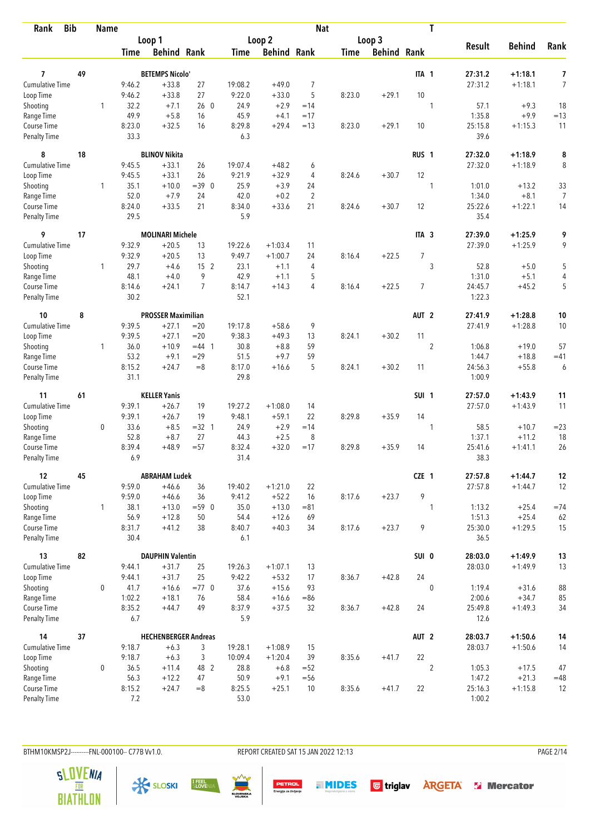| <b>Bib</b><br>Rank          |    | <b>Name</b>  |                |                             |                |                |                    | <b>Nat</b>     |             |                    |                  | T              |                   |                        |                |
|-----------------------------|----|--------------|----------------|-----------------------------|----------------|----------------|--------------------|----------------|-------------|--------------------|------------------|----------------|-------------------|------------------------|----------------|
|                             |    |              |                | Loop 1                      |                |                | Loop <sub>2</sub>  |                |             | Loop 3             |                  |                |                   |                        |                |
|                             |    |              | <b>Time</b>    | <b>Behind Rank</b>          |                | Time           | <b>Behind Rank</b> |                | <b>Time</b> | <b>Behind Rank</b> |                  |                | <b>Result</b>     | <b>Behind</b>          | Rank           |
| 7                           | 49 |              |                | <b>BETEMPS Nicolo'</b>      |                |                |                    |                |             |                    | ITA 1            |                | 27:31.2           | $+1:18.1$              | 7              |
| <b>Cumulative Time</b>      |    |              | 9:46.2         | $+33.8$                     | 27             | 19:08.2        | $+49.0$            | 7              |             |                    |                  |                | 27:31.2           | $+1:18.1$              | $\overline{7}$ |
| Loop Time                   |    |              | 9:46.2         | $+33.8$                     | 27             | 9:22.0         | $+33.0$            | 5              | 8:23.0      | $+29.1$            | 10               |                |                   |                        |                |
| Shooting                    |    | 1            | 32.2           | $+7.1$                      | 260            | 24.9           | $+2.9$             | $=14$          |             |                    |                  | 1              | 57.1              | $+9.3$                 | 18             |
| Range Time                  |    |              | 49.9           | $+5.8$                      | 16             | 45.9           | $+4.1$             | $=17$          |             |                    |                  |                | 1:35.8            | $+9.9$                 | $=13$          |
| Course Time                 |    |              | 8:23.0         | $+32.5$                     | 16             | 8:29.8         | $+29.4$            | $=13$          | 8:23.0      | $+29.1$            | 10               |                | 25:15.8           | $+1:15.3$              | 11             |
| <b>Penalty Time</b>         |    |              | 33.3           |                             |                | 6.3            |                    |                |             |                    |                  |                | 39.6              |                        |                |
| 8                           | 18 |              |                | <b>BLINOV Nikita</b>        |                |                |                    |                |             |                    | RUS <sub>1</sub> |                | 27:32.0           | $+1:18.9$              | 8              |
| Cumulative Time             |    |              | 9:45.5         | $+33.1$                     | 26             | 19:07.4        | $+48.2$            | 6              |             |                    |                  |                | 27:32.0           | $+1:18.9$              | 8              |
| Loop Time                   |    |              | 9:45.5         | $+33.1$                     | 26             | 9:21.9         | $+32.9$            | 4              | 8:24.6      | $+30.7$            | 12               |                |                   |                        |                |
| Shooting                    |    | $\mathbf{1}$ | 35.1           | $+10.0$                     | $=39$ 0        | 25.9           | $+3.9$             | 24             |             |                    |                  | 1              | 1:01.0            | $+13.2$                | 33             |
| Range Time                  |    |              | 52.0           | $+7.9$                      | 24             | 42.0           | $+0.2$             | $\overline{2}$ |             |                    |                  |                | 1:34.0            | $+8.1$                 | 7              |
| Course Time                 |    |              | 8:24.0         | $+33.5$                     | 21             | 8:34.0         | $+33.6$            | 21             | 8:24.6      | $+30.7$            | 12               |                | 25:22.6           | $+1:22.1$              | 14             |
| <b>Penalty Time</b>         |    |              | 29.5           |                             |                | 5.9            |                    |                |             |                    |                  |                | 35.4              |                        |                |
| 9                           | 17 |              |                | <b>MOLINARI Michele</b>     |                |                |                    |                |             |                    | ITA <sub>3</sub> |                | 27:39.0           | $+1:25.9$              | 9              |
| Cumulative Time             |    |              | 9:32.9         | $+20.5$                     | 13             | 19:22.6        | $+1:03.4$          | 11             |             |                    |                  |                | 27:39.0           | $+1:25.9$              | 9              |
| Loop Time                   |    |              | 9:32.9         | $+20.5$                     | 13             | 9:49.7         | $+1:00.7$          | 24             | 8:16.4      | $+22.5$            | $\overline{7}$   |                |                   |                        |                |
| Shooting                    |    | $\mathbf{1}$ | 29.7           | $+4.6$                      | 15 2           | 23.1           | $+1.1$             | 4              |             |                    |                  | 3              | 52.8              | $+5.0$                 | 5              |
| Range Time                  |    |              | 48.1           | $+4.0$                      | 9              | 42.9           | $+1.1$             | 5              |             |                    |                  |                | 1:31.0            | $+5.1$                 | 4              |
| Course Time                 |    |              | 8:14.6         | $+24.1$                     | $\overline{7}$ | 8:14.7         | $+14.3$            | $\overline{4}$ | 8:16.4      | $+22.5$            | $\overline{7}$   |                | 24:45.7           | $+45.2$                | 5              |
| <b>Penalty Time</b>         |    |              | 30.2           |                             |                | 52.1           |                    |                |             |                    |                  |                | 1:22.3            |                        |                |
| 10                          | 8  |              |                | <b>PROSSER Maximilian</b>   |                |                |                    |                |             |                    | AUT <sub>2</sub> |                | 27:41.9           | $+1:28.8$              | 10             |
| Cumulative Time             |    |              | 9:39.5         | $+27.1$                     | $=20$          | 19:17.8        | $+58.6$            | 9              |             |                    |                  |                | 27:41.9           | $+1:28.8$              | 10             |
| Loop Time                   |    |              | 9:39.5         | $+27.1$                     | $=20$          | 9:38.3         | $+49.3$            | 13             | 8:24.1      | $+30.2$            | 11               |                |                   |                        |                |
| Shooting                    |    | $\mathbf{1}$ | 36.0           | $+10.9$                     | $=44$ 1        | 30.8           | $+8.8$             | 59             |             |                    |                  | $\overline{2}$ | 1:06.8            | $+19.0$                | 57             |
| Range Time                  |    |              | 53.2           | $+9.1$                      | $=29$          | 51.5           | $+9.7$             | 59             |             |                    |                  |                | 1:44.7            | $+18.8$                | $=41$          |
| Course Time                 |    |              | 8:15.2         | $+24.7$                     | $=8$           | 8:17.0         | $+16.6$            | 5              | 8:24.1      | $+30.2$            | 11               |                | 24:56.3           | $+55.8$                | 6              |
| <b>Penalty Time</b>         |    |              | 31.1           |                             |                | 29.8           |                    |                |             |                    |                  |                | 1:00.9            |                        |                |
| 11                          | 61 |              |                | <b>KELLER Yanis</b>         |                |                |                    |                |             |                    | SUI <sub>1</sub> |                | 27:57.0           | $+1:43.9$              | 11             |
| <b>Cumulative Time</b>      |    |              | 9:39.1         | $+26.7$                     | 19             | 19:27.2        | $+1:08.0$          | 14             |             |                    |                  |                | 27:57.0           | $+1:43.9$              | 11             |
| Loop Time                   |    |              | 9:39.1         | $+26.7$                     | 19             | 9:48.1         | $+59.1$            | 22             | 8:29.8      | $+35.9$            | 14               |                |                   |                        |                |
| Shooting                    |    | 0            | 33.6           | $+8.5$                      | $=32$ 1        | 24.9           | $+2.9$             | $=14$          |             |                    |                  | 1              | 58.5              | $+10.7$                | $=23$          |
| Range Time                  |    |              | 52.8           | $+8.7$                      | 27             | 44.3           | $+2.5$             | 8              |             |                    |                  |                | 1:37.1            | $+11.2$                | 18             |
| Course Time                 |    |              | 8:39.4         | $+48.9$                     | $= 57$         | 8:32.4         | $+32.0$            | $=17$          | 8:29.8      | $+35.9$            | 14               |                | 25:41.6           | $+1:41.1$              | 26             |
| <b>Penalty Time</b>         |    |              | 6.9            |                             |                | 31.4           |                    |                |             |                    |                  |                | 38.3              |                        |                |
| 12                          | 45 |              |                | <b>ABRAHAM Ludek</b>        |                |                |                    |                |             |                    | CZE 1            |                | 27:57.8           | $+1:44.7$              | 12             |
| <b>Cumulative Time</b>      |    |              | 9:59.0         | $+46.6$                     | 36             | 19:40.2        | $+1:21.0$          | 22             |             |                    |                  |                | 27:57.8           | $+1:44.7$              | 12             |
| Loop Time                   |    |              | 9:59.0         | $+46.6$                     | 36             | 9:41.2         | $+52.2$            | 16             | 8:17.6      | $+23.7$            | 9                |                |                   |                        |                |
| Shooting                    |    | $\mathbf{1}$ | 38.1           | $+13.0$                     | $= 590$        | 35.0           | $+13.0$            | $= 81$         |             |                    |                  | 1              | 1:13.2            | $+25.4$                | $=74$          |
| Range Time                  |    |              | 56.9           | $+12.8$                     | 50             | 54.4           | $+12.6$            | 69             |             |                    |                  |                | 1:51.3            | $+25.4$                | 62             |
| Course Time<br>Penalty Time |    |              | 8:31.7<br>30.4 | $+41.2$                     | 38             | 8:40.7<br>6.1  | $+40.3$            | 34             | 8:17.6      | $+23.7$            | 9                |                | 25:30.0<br>36.5   | $+1:29.5$              | 15             |
| 13                          | 82 |              |                | <b>DAUPHIN Valentin</b>     |                |                |                    |                |             |                    | SUI 0            |                | 28:03.0           |                        |                |
| <b>Cumulative Time</b>      |    |              | 9:44.1         | $+31.7$                     | 25             | 19:26.3        | $+1:07.1$          | 13             |             |                    |                  |                | 28:03.0           | $+1:49.9$<br>$+1:49.9$ | 13<br>13       |
| Loop Time                   |    |              | 9:44.1         | $+31.7$                     | 25             | 9:42.2         | $+53.2$            | 17             | 8:36.7      | $+42.8$            | 24               |                |                   |                        |                |
|                             |    | 0            |                |                             | $=77$ 0        |                |                    | 93             |             |                    |                  |                |                   |                        |                |
| Shooting                    |    |              | 41.7<br>1:02.2 | $+16.6$<br>$+18.1$          | 76             | 37.6           | $+15.6$            |                |             |                    |                  | $\mathbf 0$    | 1:19.4            | $+31.6$                | 88             |
| Range Time<br>Course Time   |    |              | 8:35.2         | $+44.7$                     | 49             | 58.4<br>8:37.9 | $+16.6$<br>$+37.5$ | $= 86$<br>32   | 8:36.7      | $+42.8$            | 24               |                | 2:00.6<br>25:49.8 | $+34.7$<br>$+1:49.3$   | 85<br>34       |
| Penalty Time                |    |              | 6.7            |                             |                | 5.9            |                    |                |             |                    |                  |                | 12.6              |                        |                |
| 14                          | 37 |              |                | <b>HECHENBERGER Andreas</b> |                |                |                    |                |             |                    | AUT <sub>2</sub> |                | 28:03.7           | $+1:50.6$              | 14             |
| <b>Cumulative Time</b>      |    |              | 9:18.7         | $+6.3$                      | 3              | 19:28.1        | $+1:08.9$          | 15             |             |                    |                  |                | 28:03.7           | $+1:50.6$              | 14             |
| Loop Time                   |    |              | 9:18.7         | $+6.3$                      | 3              | 10:09.4        | $+1:20.4$          | 39             | 8:35.6      | $+41.7$            | 22               |                |                   |                        |                |
| Shooting                    |    | 0            | 36.5           | $+11.4$                     | 48 2           | 28.8           | $+6.8$             | $=52$          |             |                    |                  | 2              | 1:05.3            | $+17.5$                | 47             |
| Range Time                  |    |              | 56.3           | $+12.2$                     | 47             | 50.9           | $+9.1$             | $=$ 56         |             |                    |                  |                | 1:47.2            | $+21.3$                | $=48$          |
| Course Time                 |    |              | 8:15.2         | $+24.7$                     | $=8$           | 8:25.5         | $+25.1$            | 10             | 8:35.6      | $+41.7$            | 22               |                | 25:16.3           | $+1:15.8$              | 12             |
| Penalty Time                |    |              | 7.2            |                             |                | 53.0           |                    |                |             |                    |                  |                | 1:00.2            |                        |                |

BTHM10KMSP2J---------FNL-000100-- C77B Vv1.0. REPORT CREATED SAT 15 JAN 2022 12:13 PAGE 2/14

**PETROL**<br>Energija za življenje

**THIDES** Gtriglav **ARGETA** & Mercator







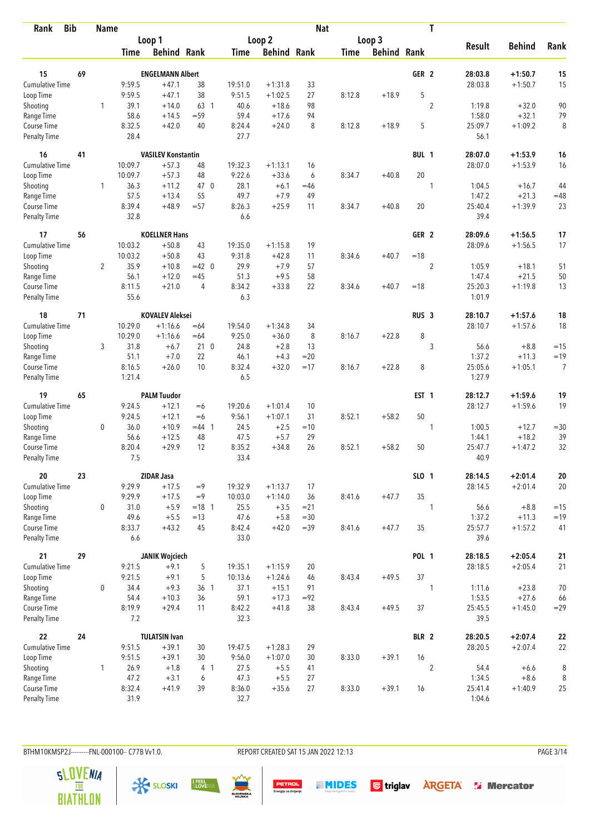| <b>Bib</b><br>Rank          |    | <b>Name</b>    |               |                           |                 |                |                    | <b>Nat</b> |             |                    |                  | T              |                 |               |                |
|-----------------------------|----|----------------|---------------|---------------------------|-----------------|----------------|--------------------|------------|-------------|--------------------|------------------|----------------|-----------------|---------------|----------------|
|                             |    |                |               | Loop 1                    |                 |                | Loop <sub>2</sub>  |            |             | Loop 3             |                  |                |                 |               |                |
|                             |    |                | <b>Time</b>   | <b>Behind Rank</b>        |                 | <b>Time</b>    | <b>Behind Rank</b> |            | <b>Time</b> | <b>Behind Rank</b> |                  |                | <b>Result</b>   | <b>Behind</b> | Rank           |
| 15                          | 69 |                |               | <b>ENGELMANN Albert</b>   |                 |                |                    |            |             |                    | GER <sub>2</sub> |                | 28:03.8         | $+1:50.7$     | 15             |
| <b>Cumulative Time</b>      |    |                | 9:59.5        | $+47.1$                   | 38              | 19:51.0        | $+1:31.8$          | 33         |             |                    |                  |                | 28:03.8         | $+1:50.7$     | 15             |
| Loop Time                   |    |                | 9:59.5        | $+47.1$                   | 38              | 9:51.5         | $+1:02.5$          | 27         | 8:12.8      | $+18.9$            | 5                |                |                 |               |                |
| Shooting                    |    | 1              | 39.1          | $+14.0$                   | 63 1            | 40.6           | $+18.6$            | 98         |             |                    |                  | $\overline{2}$ | 1:19.8          | $+32.0$       | 90             |
| Range Time                  |    |                | 58.6          | $+14.5$                   | $= 59$          | 59.4           | $+17.6$            | 94         |             |                    |                  |                | 1:58.0          | $+32.1$       | 79             |
| Course Time                 |    |                | 8:32.5        | $+42.0$                   | 40              | 8:24.4         | $+24.0$            | 8          | 8:12.8      | $+18.9$            | 5                |                | 25:09.7         | $+1:09.2$     | 8              |
| <b>Penalty Time</b>         |    |                | 28.4          |                           |                 | 27.7           |                    |            |             |                    |                  |                | 56.1            |               |                |
| 16                          | 41 |                |               | <b>VASILEV Konstantin</b> |                 |                |                    |            |             |                    | BUL 1            |                | 28:07.0         | $+1:53.9$     | 16             |
| <b>Cumulative Time</b>      |    |                | 10:09.7       | $+57.3$                   | 48              | 19:32.3        | $+1:13.1$          | 16         |             |                    |                  |                | 28:07.0         | $+1:53.9$     | 16             |
| Loop Time                   |    |                | 10:09.7       | $+57.3$                   | 48              | 9:22.6         | $+33.6$            | 6          | 8:34.7      | $+40.8$            | 20               |                |                 |               |                |
| Shooting                    |    | 1              | 36.3          | $+11.2$                   | 47 0            | 28.1           | $+6.1$             | $=46$      |             |                    |                  | 1              | 1:04.5          | $+16.7$       | 44             |
| Range Time                  |    |                | 57.5          | $+13.4$                   | 55              | 49.7           | $+7.9$             | 49         |             |                    |                  |                | 1:47.2          | $+21.3$       | $=48$          |
| Course Time                 |    |                | 8:39.4        | $+48.9$                   | $= 57$          | 8:26.3         | $+25.9$            | 11         | 8:34.7      | $+40.8$            | 20               |                | 25:40.4         | $+1:39.9$     | 23             |
| <b>Penalty Time</b>         |    |                | 32.8          |                           |                 | 6.6            |                    |            |             |                    |                  |                | 39.4            |               |                |
| 17                          | 56 |                |               | <b>KOELLNER Hans</b>      |                 |                |                    |            |             |                    | GER 2            |                | 28:09.6         | $+1:56.5$     | 17             |
| <b>Cumulative Time</b>      |    |                | 10:03.2       | $+50.8$                   | 43              | 19:35.0        | $+1:15.8$          | 19         |             |                    |                  |                | 28:09.6         | $+1:56.5$     | 17             |
| Loop Time                   |    |                | 10:03.2       | $+50.8$                   | 43              | 9:31.8         | $+42.8$            | 11         | 8:34.6      | $+40.7$            | $=18$            |                |                 |               |                |
| Shooting                    |    | $\overline{2}$ | 35.9          | $+10.8$                   | $=42$ 0         | 29.9           | $+7.9$             | 57         |             |                    |                  | $\overline{2}$ | 1:05.9          | $+18.1$       | 51             |
| Range Time                  |    |                | 56.1          | $+12.0$                   | $=45$           | 51.3           | $+9.5$             | 58         |             |                    |                  |                | 1:47.4          | $+21.5$       | 50             |
| Course Time                 |    |                | 8:11.5        | $+21.0$                   | 4               | 8:34.2         | $+33.8$            | 22         | 8:34.6      | $+40.7$            | $=18$            |                | 25:20.3         | $+1:19.8$     | 13             |
| <b>Penalty Time</b>         |    |                | 55.6          |                           |                 | 6.3            |                    |            |             |                    |                  |                | 1:01.9          |               |                |
| 18                          | 71 |                |               | <b>KOVALEV Aleksei</b>    |                 |                |                    |            |             |                    | RUS <sub>3</sub> |                | 28:10.7         | $+1:57.6$     | 18             |
| Cumulative Time             |    |                | 10:29.0       | $+1:16.6$                 | $=64$           | 19:54.0        | $+1:34.8$          | 34         |             |                    |                  |                | 28:10.7         | $+1:57.6$     | 18             |
| Loop Time                   |    |                | 10:29.0       | $+1:16.6$                 | $=64$           | 9:25.0         | $+36.0$            | 8          | 8:16.7      | $+22.8$            | 8                |                |                 |               |                |
| Shooting                    |    | 3              | 31.8          | $+6.7$                    | 210             | 24.8           | $+2.8$             | 13         |             |                    |                  | 3              | 56.6            | $+8.8$        | $=15$          |
| Range Time                  |    |                | 51.1          | $+7.0$                    | 22              | 46.1           | $+4.3$             | $= 20$     |             |                    |                  |                | 1:37.2          | $+11.3$       | $=19$          |
| Course Time                 |    |                | 8:16.5        | $+26.0$                   | 10              | 8:32.4         | $+32.0$            | $=17$      | 8:16.7      | $+22.8$            | 8                |                | 25:05.6         | $+1:05.1$     | $\overline{7}$ |
| <b>Penalty Time</b>         |    |                | 1:21.4        |                           |                 | 6.5            |                    |            |             |                    |                  |                | 1:27.9          |               |                |
| 19                          | 65 |                |               | <b>PALM Tuudor</b>        |                 |                |                    |            |             |                    | EST <sub>1</sub> |                | 28:12.7         | $+1:59.6$     | 19             |
| <b>Cumulative Time</b>      |    |                | 9:24.5        | $+12.1$                   | $=6$            | 19:20.6        | $+1:01.4$          | 10         |             |                    |                  |                | 28:12.7         | $+1:59.6$     | 19             |
| Loop Time                   |    |                | 9:24.5        | $+12.1$                   | $=6$            | 9:56.1         | $+1:07.1$          | 31         | 8:52.1      | $+58.2$            | 50               |                |                 |               |                |
| Shooting                    |    | 0              | 36.0          | $+10.9$                   | $=44$ 1         | 24.5           | $+2.5$             | $=10$      |             |                    |                  | 1              | 1:00.5          | $+12.7$       | $= 30$         |
| Range Time                  |    |                | 56.6          | $+12.5$                   | 48              | 47.5           | $+5.7$             | 29         |             |                    |                  |                | 1:44.1          | $+18.2$       | 39             |
| Course Time                 |    |                | 8:20.4        | $+29.9$                   | 12              | 8:35.2         | $+34.8$            | 26         | 8:52.1      | $+58.2$            | 50               |                | 25:47.7         | $+1:47.2$     | 32             |
| <b>Penalty Time</b>         |    |                | 7.5           |                           |                 | 33.4           |                    |            |             |                    |                  |                | 40.9            |               |                |
| 20                          | 23 |                |               | <b>ZIDAR Jasa</b>         |                 |                |                    |            |             |                    | SLO 1            |                | 28:14.5         | $+2:01.4$     | 20             |
| <b>Cumulative Time</b>      |    |                | 9:29.9        | $+17.5$                   | $=9$            | 19:32.9        | $+1:13.7$          | 17         |             |                    |                  |                | 28:14.5         | $+2:01.4$     | 20             |
| Loop Time                   |    |                | 9:29.9        | $+17.5$                   | $=9$            | 10:03.0        | $+1:14.0$          | 36         | 8:41.6      | $+47.7$            | 35               |                |                 |               |                |
| Shooting                    |    | 0              | 31.0          | $+5.9$                    | $= 18$ 1        | 25.5           | $+3.5$             | $= 21$     |             |                    |                  | 1              | 56.6            | $+8.8$        | $=15$          |
| Range Time                  |    |                | 49.6          | $+5.5$                    | $=13$           | 47.6           | $+5.8$             | $= 30$     |             |                    |                  |                | 1:37.2          | $+11.3$       | $=19$          |
| Course Time<br>Penalty Time |    |                | 8:33.7<br>6.6 | $+43.2$                   | 45              | 8:42.4<br>33.0 | $+42.0$            | $=39$      | 8:41.6      | $+47.7$            | 35               |                | 25:57.7<br>39.6 | $+1:57.2$     | 41             |
| 21                          | 29 |                |               | <b>JANIK Wojciech</b>     |                 |                |                    |            |             |                    | <b>POL 1</b>     |                | 28:18.5         | $+2:05.4$     | 21             |
| <b>Cumulative Time</b>      |    |                | 9:21.5        | $+9.1$                    | 5               | 19:35.1        | $+1:15.9$          | 20         |             |                    |                  |                | 28:18.5         | $+2:05.4$     | 21             |
| Loop Time                   |    |                | 9:21.5        | $+9.1$                    | 5               | 10:13.6        | $+1:24.6$          | 46         | 8:43.4      | $+49.5$            | 37               |                |                 |               |                |
| Shooting                    |    | 0              | 34.4          | $+9.3$                    | 36 <sub>1</sub> | 37.1           | $+15.1$            | 91         |             |                    |                  | 1              | 1:11.6          | $+23.8$       | 70             |
| Range Time                  |    |                | 54.4          | $+10.3$                   | 36              | 59.1           | $+17.3$            | $= 92$     |             |                    |                  |                | 1:53.5          | $+27.6$       | 66             |
| Course Time                 |    |                | 8:19.9        | $+29.4$                   | 11              | 8:42.2         | $+41.8$            | 38         | 8:43.4      | $+49.5$            | 37               |                | 25:45.5         | $+1:45.0$     | $= 29$         |
| Penalty Time                |    |                | 7.2           |                           |                 | 32.3           |                    |            |             |                    |                  |                | 39.5            |               |                |
| 22                          | 24 |                |               | <b>TULATSIN Ivan</b>      |                 |                |                    |            |             |                    | BLR 2            |                | 28:20.5         | $+2:07.4$     | 22             |
| Cumulative Time             |    |                | 9:51.5        | $+39.1$                   | 30              | 19:47.5        | $+1:28.3$          | 29         |             |                    |                  |                | 28:20.5         | $+2:07.4$     | 22             |
| Loop Time                   |    |                | 9:51.5        | $+39.1$                   | 30              | 9:56.0         | $+1:07.0$          | 30         | 8:33.0      | $+39.1$            | 16               |                |                 |               |                |
| Shooting                    |    | 1              | 26.9          | $+1.8$                    | 4 <sub>1</sub>  | 27.5           | $+5.5$             | 41         |             |                    |                  | $\overline{2}$ | 54.4            | $+6.6$        | 8              |
| Range Time                  |    |                | 47.2          | $+3.1$                    | 6               | 47.3           | $+5.5$             | 27         |             |                    |                  |                | 1:34.5          | $+8.6$        | 8              |
| Course Time                 |    |                | 8:32.4        | $+41.9$                   | 39              | 8:36.0         | $+35.6$            | 27         | 8:33.0      | $+39.1$            | 16               |                | 25:41.4         | $+1:40.9$     | 25             |
| <b>Penalty Time</b>         |    |                | 31.9          |                           |                 | 32.7           |                    |            |             |                    |                  |                | 1:04.6          |               |                |

BTHM10KMSP2J---------FNL-000100-- C77B Vv1.0. REPORT CREATED SAT 15 JAN 2022 12:13 PAGE 3/14







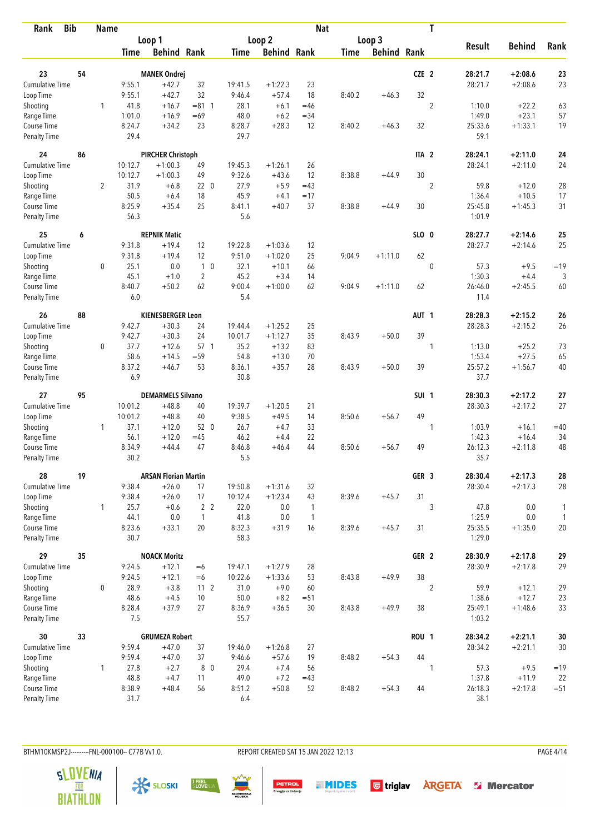| <b>Bib</b><br>Rank                 |    | <b>Name</b>    |                |                             |                 |                |                    | <b>Nat</b>   |             |                    |                  | T              |                   |                    |              |
|------------------------------------|----|----------------|----------------|-----------------------------|-----------------|----------------|--------------------|--------------|-------------|--------------------|------------------|----------------|-------------------|--------------------|--------------|
|                                    |    |                |                | Loop 1                      |                 |                | Loop <sub>2</sub>  |              |             | Loop 3             |                  |                |                   |                    |              |
|                                    |    |                | <b>Time</b>    | <b>Behind Rank</b>          |                 | Time           | <b>Behind Rank</b> |              | <b>Time</b> | <b>Behind Rank</b> |                  |                | <b>Result</b>     | <b>Behind</b>      | Rank         |
|                                    |    |                |                |                             |                 |                |                    |              |             |                    |                  |                |                   |                    |              |
| 23                                 | 54 |                |                | <b>MANEK Ondrej</b>         |                 |                |                    |              |             |                    | CZE 2            |                | 28:21.7           | $+2:08.6$          | 23           |
| Cumulative Time                    |    |                | 9:55.1         | $+42.7$                     | 32              | 19:41.5        | $+1:22.3$          | 23           |             |                    |                  |                | 28:21.7           | $+2:08.6$          | 23           |
| Loop Time                          |    |                | 9:55.1         | $+42.7$                     | 32              | 9:46.4         | $+57.4$            | 18           | 8:40.2      | $+46.3$            | 32               |                |                   |                    |              |
| Shooting                           |    | 1              | 41.8           | $+16.7$                     | $= 81 \quad 1$  | 28.1<br>48.0   | $+6.1$             | $=46$        |             |                    |                  | $\overline{2}$ | 1:10.0<br>1:49.0  | $+22.2$<br>$+23.1$ | 63           |
| Range Time                         |    |                | 1:01.0         | $+16.9$<br>$+34.2$          | $=69$<br>23     |                | $+6.2$<br>$+28.3$  | $=34$<br>12  |             |                    | 32               |                |                   | $+1:33.1$          | 57<br>19     |
| Course Time<br><b>Penalty Time</b> |    |                | 8:24.7<br>29.4 |                             |                 | 8:28.7<br>29.7 |                    |              | 8:40.2      | $+46.3$            |                  |                | 25:33.6<br>59.1   |                    |              |
| 24                                 | 86 |                |                | <b>PIRCHER Christoph</b>    |                 |                |                    |              |             |                    | ITA <sub>2</sub> |                | 28:24.1           | $+2:11.0$          | 24           |
| <b>Cumulative Time</b>             |    |                | 10:12.7        | $+1:00.3$                   | 49              | 19:45.3        | $+1:26.1$          | 26           |             |                    |                  |                | 28:24.1           | $+2:11.0$          | 24           |
| Loop Time                          |    |                | 10:12.7        | $+1:00.3$                   | 49              | 9:32.6         | $+43.6$            | 12           | 8:38.8      | $+44.9$            | 30               |                |                   |                    |              |
| Shooting                           |    | $\overline{2}$ | 31.9           | $+6.8$                      | 220             | 27.9           | $+5.9$             | $=43$        |             |                    |                  | $\overline{2}$ | 59.8              | $+12.0$            | 28           |
| Range Time                         |    |                | 50.5           | $+6.4$                      | 18              | 45.9           | $+4.1$             | $=17$        |             |                    |                  |                | 1:36.4            | $+10.5$            | 17           |
| Course Time                        |    |                | 8:25.9         | $+35.4$                     | 25              | 8:41.1         | $+40.7$            | 37           | 8:38.8      | $+44.9$            | 30               |                | 25:45.8           | $+1:45.3$          | 31           |
| <b>Penalty Time</b>                |    |                | 56.3           |                             |                 | 5.6            |                    |              |             |                    |                  |                | 1:01.9            |                    |              |
| 25                                 | 6  |                |                | <b>REPNIK Matic</b>         |                 |                |                    |              |             |                    | SLO 0            |                | 28:27.7           | $+2:14.6$          | 25           |
| <b>Cumulative Time</b>             |    |                | 9:31.8         | $+19.4$                     | 12              | 19:22.8        | $+1:03.6$          | 12           |             |                    |                  |                | 28:27.7           | $+2:14.6$          | 25           |
| Loop Time                          |    |                | 9:31.8         | $+19.4$                     | 12              | 9:51.0         | $+1:02.0$          | 25           | 9:04.9      | $+1:11.0$          | 62               |                |                   |                    |              |
| Shooting                           |    | $\mathbf 0$    | 25.1           | 0.0                         | $1\quad0$       | 32.1           | $+10.1$            | 66           |             |                    |                  | $\mathbf 0$    | 57.3              | $+9.5$             | $=19$        |
| Range Time                         |    |                | 45.1           | $+1.0$                      | $\overline{2}$  | 45.2           | $+3.4$             | 14           |             |                    |                  |                | 1:30.3            | $+4.4$             | 3            |
| Course Time                        |    |                | 8:40.7         | $+50.2$                     | 62              | 9:00.4         | $+1:00.0$          | 62           | 9:04.9      | $+1:11.0$          | 62               |                | 26:46.0           | $+2:45.5$          | 60           |
| <b>Penalty Time</b>                |    |                | 6.0            |                             |                 | 5.4            |                    |              |             |                    |                  |                | 11.4              |                    |              |
| 26                                 | 88 |                |                | <b>KIENESBERGER Leon</b>    |                 |                |                    |              |             |                    | AUT <sub>1</sub> |                | 28:28.3           | $+2:15.2$          | 26           |
| Cumulative Time                    |    |                | 9:42.7         | $+30.3$                     | 24              | 19:44.4        | $+1:25.2$          | 25           |             |                    |                  |                | 28:28.3           | $+2:15.2$          | 26           |
| Loop Time                          |    |                | 9:42.7         | $+30.3$                     | 24              | 10:01.7        | $+1:12.7$          | 35           | 8:43.9      | $+50.0$            | 39               |                |                   |                    |              |
| Shooting                           |    | $\mathbf 0$    | 37.7           | $+12.6$                     | 57 1            | 35.2           | $+13.2$            | 83           |             |                    |                  | 1              | 1:13.0            | $+25.2$            | 73           |
| Range Time                         |    |                | 58.6           | $+14.5$                     | $= 59$          | 54.8           | $+13.0$            | 70           |             |                    |                  |                | 1:53.4            | $+27.5$            | 65           |
| Course Time                        |    |                | 8:37.2         | $+46.7$                     | 53              | 8:36.1         | $+35.7$            | 28           | 8:43.9      | $+50.0$            | 39               |                | 25:57.2           | $+1:56.7$          | 40           |
| <b>Penalty Time</b>                |    |                | 6.9            |                             |                 | 30.8           |                    |              |             |                    |                  |                | 37.7              |                    |              |
| 27                                 | 95 |                |                | <b>DEMARMELS Silvano</b>    |                 |                |                    |              |             |                    | SUI <sub>1</sub> |                | 28:30.3           | $+2:17.2$          | 27           |
| <b>Cumulative Time</b>             |    |                | 10:01.2        | $+48.8$                     | 40              | 19:39.7        | $+1:20.5$          | 21           |             |                    |                  |                | 28:30.3           | $+2:17.2$          | 27           |
| Loop Time                          |    |                | 10:01.2        | $+48.8$                     | 40              | 9:38.5         | $+49.5$            | 14           | 8:50.6      | $+56.7$            | 49               |                |                   |                    |              |
| Shooting                           |    | $\mathbf{1}$   | 37.1           | $+12.0$                     | 52 0            | 26.7           | $+4.7$             | 33           |             |                    |                  | 1              | 1:03.9            | $+16.1$            | $=40$        |
| Range Time                         |    |                | 56.1           | $+12.0$                     | $=45$           | 46.2           | $+4.4$             | 22           |             |                    |                  |                | 1:42.3            | $+16.4$            | 34           |
| Course Time                        |    |                | 8:34.9         | $+44.4$                     | 47              | 8:46.8         | $+46.4$            | 44           | 8:50.6      | $+56.7$            | 49               |                | 26:12.3           | $+2:11.8$          | 48           |
| <b>Penalty Time</b>                |    |                | 30.2           |                             |                 | 5.5            |                    |              |             |                    |                  |                | 35.7              |                    |              |
| 28                                 | 19 |                |                | <b>ARSAN Florian Martin</b> |                 |                |                    |              |             |                    | GER <sub>3</sub> |                | 28:30.4           | $+2:17.3$          | 28           |
| <b>Cumulative Time</b>             |    |                | 9:38.4         | $+26.0$                     | 17              | 19:50.8        | $+1:31.6$          | 32           |             |                    |                  |                | 28:30.4           | $+2:17.3$          | 28           |
| Loop Time                          |    |                | 9:38.4         | $+26.0$                     | 17              | 10:12.4        | $+1:23.4$          | 43           | 8:39.6      | $+45.7$            | 31               |                |                   |                    |              |
| Shooting                           |    | $\mathbf{1}$   | 25.7           | $+0.6$                      | 2 <sub>2</sub>  | 22.0           | 0.0                | 1            |             |                    |                  | 3              | 47.8              | 0.0                | 1            |
| Range Time                         |    |                | 44.1           | 0.0                         | $\mathbf{1}$    | 41.8           | 0.0                | $\mathbf{1}$ |             |                    |                  |                | 1:25.9            | 0.0                | $\mathbf{1}$ |
| Course Time<br>Penalty Time        |    |                | 8:23.6<br>30.7 | $+33.1$                     | 20              | 8:32.3<br>58.3 | $+31.9$            | 16           | 8:39.6      | $+45.7$            | 31               |                | 25:35.5<br>1:29.0 | $+1:35.0$          | 20           |
| 29                                 | 35 |                |                | <b>NOACK Moritz</b>         |                 |                |                    |              |             |                    | GER <sub>2</sub> |                | 28:30.9           | $+2:17.8$          | 29           |
| <b>Cumulative Time</b>             |    |                | 9:24.5         | $+12.1$                     | $=6$            | 19:47.1        | $+1:27.9$          | 28           |             |                    |                  |                | 28:30.9           | $+2:17.8$          | 29           |
| Loop Time                          |    |                | 9:24.5         | $+12.1$                     | $=6$            | 10:22.6        | $+1:33.6$          | 53           | 8:43.8      | $+49.9$            | 38               |                |                   |                    |              |
| Shooting                           |    | 0              | 28.9           | $+3.8$                      | 11 <sub>2</sub> |                | $+9.0$             | 60           |             |                    |                  |                | 59.9              |                    |              |
| Range Time                         |    |                | 48.6           | $+4.5$                      | 10              | 31.0<br>50.0   | $+8.2$             | $= 51$       |             |                    |                  | $\overline{2}$ | 1:38.6            | $+12.1$<br>$+12.7$ | 29<br>23     |
| Course Time                        |    |                | 8:28.4         | $+37.9$                     | 27              | 8:36.9         | $+36.5$            | 30           | 8:43.8      | $+49.9$            | 38               |                | 25:49.1           | $+1:48.6$          | 33           |
| Penalty Time                       |    |                | 7.5            |                             |                 | 55.7           |                    |              |             |                    |                  |                | 1:03.2            |                    |              |
| 30                                 | 33 |                |                | <b>GRUMEZA Robert</b>       |                 |                |                    |              |             |                    | <b>ROU 1</b>     |                | 28:34.2           | $+2:21.1$          | $30\,$       |
| <b>Cumulative Time</b>             |    |                | 9:59.4         | $+47.0$                     | 37              | 19:46.0        | $+1:26.8$          | 27           |             |                    |                  |                | 28:34.2           | $+2:21.1$          | 30           |
| Loop Time                          |    |                | 9:59.4         | $+47.0$                     | 37              | 9:46.6         | $+57.6$            | 19           | 8:48.2      | $+54.3$            | 44               |                |                   |                    |              |
| Shooting                           |    | 1              | 27.8           | $+2.7$                      | 8 0             | 29.4           | $+7.4$             | 56           |             |                    |                  | 1              | 57.3              | $+9.5$             | $=19$        |
| Range Time                         |    |                | 48.8           | $+4.7$                      | 11              | 49.0           | $+7.2$             | $=43$        |             |                    |                  |                | 1:37.8            | $+11.9$            | 22           |
| Course Time                        |    |                | 8:38.9         | $+48.4$                     | 56              | 8:51.2         | $+50.8$            | 52           | 8:48.2      | $+54.3$            | 44               |                | 26:18.3           | $+2:17.8$          | $= 51$       |
| Penalty Time                       |    |                | 31.7           |                             |                 | 6.4            |                    |              |             |                    |                  |                | 38.1              |                    |              |

BTHM10KMSP2J---------FNL-000100-- C77B Vv1.0. REPORT CREATED SAT 15 JAN 2022 12:13 PAGE 4/14

**PETROL**<br>Energija za življenje

**THIDES** Gtriglav **ARGETA** & Mercator





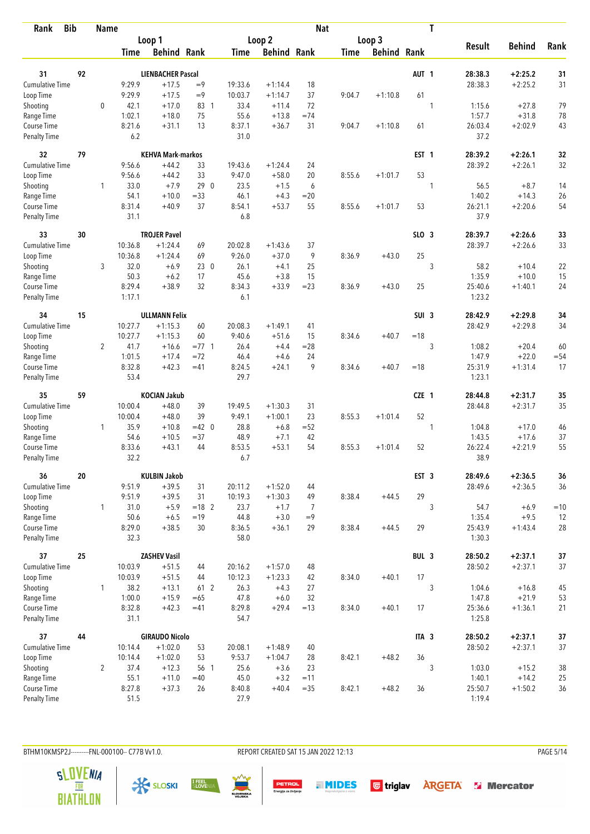| <b>Bib</b><br>Rank          |    | <b>Name</b>    |                |                          |          |                |                    | <b>Nat</b> |             |                    |                  | T |                   |               |        |
|-----------------------------|----|----------------|----------------|--------------------------|----------|----------------|--------------------|------------|-------------|--------------------|------------------|---|-------------------|---------------|--------|
|                             |    |                |                | Loop 1                   |          |                | Loop 2             |            |             | Loop 3             |                  |   |                   |               |        |
|                             |    |                | <b>Time</b>    | <b>Behind Rank</b>       |          | <b>Time</b>    | <b>Behind Rank</b> |            | <b>Time</b> | <b>Behind Rank</b> |                  |   | <b>Result</b>     | <b>Behind</b> | Rank   |
| 31                          | 92 |                |                | <b>LIENBACHER Pascal</b> |          |                |                    |            |             |                    | AUT <sub>1</sub> |   | 28:38.3           | $+2:25.2$     | 31     |
| <b>Cumulative Time</b>      |    |                | 9:29.9         | $+17.5$                  | $=9$     | 19:33.6        | $+1:14.4$          | 18         |             |                    |                  |   | 28:38.3           | $+2:25.2$     | 31     |
| Loop Time                   |    |                | 9:29.9         | $+17.5$                  | $=9$     | 10:03.7        | $+1:14.7$          | 37         | 9:04.7      | $+1:10.8$          | 61               |   |                   |               |        |
| Shooting                    |    | $\mathbf 0$    | 42.1           | $+17.0$                  | 83 1     | 33.4           | $+11.4$            | 72         |             |                    |                  | 1 | 1:15.6            | $+27.8$       | 79     |
| Range Time                  |    |                | 1:02.1         | $+18.0$                  | 75       | 55.6           | $+13.8$            | $=74$      |             |                    |                  |   | 1:57.7            | $+31.8$       | 78     |
| Course Time                 |    |                | 8:21.6         | $+31.1$                  | 13       | 8:37.1         | $+36.7$            | 31         | 9:04.7      | $+1:10.8$          | 61               |   | 26:03.4           | $+2:02.9$     | 43     |
| <b>Penalty Time</b>         |    |                | 6.2            |                          |          | 31.0           |                    |            |             |                    |                  |   | 37.2              |               |        |
| 32                          | 79 |                |                | <b>KEHVA Mark-markos</b> |          |                |                    |            |             |                    | EST <sub>1</sub> |   | 28:39.2           | $+2:26.1$     | 32     |
| Cumulative Time             |    |                | 9:56.6         | $+44.2$                  | 33       | 19:43.6        | $+1:24.4$          | 24         |             |                    |                  |   | 28:39.2           | $+2:26.1$     | 32     |
| Loop Time                   |    |                | 9:56.6         | $+44.2$                  | 33       | 9:47.0         | $+58.0$            | 20         | 8:55.6      | $+1:01.7$          | 53               |   |                   |               |        |
| Shooting                    |    | 1              | 33.0           | $+7.9$                   | 290      | 23.5           | $+1.5$             | 6          |             |                    |                  | 1 | 56.5              | $+8.7$        | 14     |
| Range Time                  |    |                | 54.1           | $+10.0$                  | $= 33$   | 46.1           | $+4.3$             | $= 20$     |             |                    |                  |   | 1:40.2            | $+14.3$       | 26     |
| Course Time                 |    |                | 8:31.4         | $+40.9$                  | 37       | 8:54.1         | $+53.7$            | 55         | 8:55.6      | $+1:01.7$          | 53               |   | 26:21.1           | $+2:20.6$     | 54     |
| <b>Penalty Time</b>         |    |                | 31.1           |                          |          | 6.8            |                    |            |             |                    |                  |   | 37.9              |               |        |
| 33                          | 30 |                |                | <b>TROJER Pavel</b>      |          |                |                    |            |             |                    | $SLO$ 3          |   | 28:39.7           | $+2:26.6$     | 33     |
| <b>Cumulative Time</b>      |    |                | 10:36.8        | $+1:24.4$                | 69       | 20:02.8        | $+1:43.6$          | 37         |             |                    |                  |   | 28:39.7           | $+2:26.6$     | 33     |
| Loop Time                   |    |                | 10:36.8        | $+1:24.4$                | 69       | 9:26.0         | $+37.0$            | 9          | 8:36.9      | $+43.0$            | 25               |   |                   |               |        |
| Shooting                    |    | 3              | 32.0           | $+6.9$                   | 230      | 26.1           | $+4.1$             | 25         |             |                    |                  | 3 | 58.2              | $+10.4$       | 22     |
| Range Time                  |    |                | 50.3           | $+6.2$                   | 17       | 45.6           | $+3.8$             | 15         |             |                    |                  |   | 1:35.9            | $+10.0$       | 15     |
| Course Time                 |    |                | 8:29.4         | $+38.9$                  | 32       | 8:34.3         | $+33.9$            | $= 23$     | 8:36.9      | $+43.0$            | 25               |   | 25:40.6           | $+1:40.1$     | 24     |
| <b>Penalty Time</b>         |    |                | 1:17.1         |                          |          | 6.1            |                    |            |             |                    |                  |   | 1:23.2            |               |        |
| 34                          | 15 |                |                | <b>ULLMANN Felix</b>     |          |                |                    |            |             |                    | SUI <sub>3</sub> |   | 28:42.9           | $+2:29.8$     | 34     |
| Cumulative Time             |    |                | 10:27.7        | $+1:15.3$                | 60       | 20:08.3        | $+1:49.1$          | 41         |             |                    |                  |   | 28:42.9           | $+2:29.8$     | 34     |
| Loop Time                   |    |                | 10:27.7        | $+1:15.3$                | 60       | 9:40.6         | $+51.6$            | 15         | 8:34.6      | $+40.7$            | $=18$            |   |                   |               |        |
| Shooting                    |    | $\overline{2}$ | 41.7           | $+16.6$                  | $= 77.1$ | 26.4           | $+4.4$             | $= 28$     |             |                    |                  | 3 | 1:08.2            | $+20.4$       | 60     |
| Range Time                  |    |                | 1:01.5         | $+17.4$                  | $=72$    | 46.4           | $+4.6$             | 24         |             |                    |                  |   | 1:47.9            | $+22.0$       | $= 54$ |
| Course Time                 |    |                | 8:32.8         | $+42.3$                  | $=41$    | 8:24.5         | $+24.1$            | 9          | 8:34.6      | $+40.7$            | $=18$            |   | 25:31.9           | $+1:31.4$     | 17     |
| <b>Penalty Time</b>         |    |                | 53.4           |                          |          | 29.7           |                    |            |             |                    |                  |   | 1:23.1            |               |        |
| 35                          | 59 |                |                | <b>KOCIAN Jakub</b>      |          |                |                    |            |             |                    | CZE 1            |   | 28:44.8           | $+2:31.7$     | 35     |
| Cumulative Time             |    |                | 10:00.4        | $+48.0$                  | 39       | 19:49.5        | $+1:30.3$          | 31         |             |                    |                  |   | 28:44.8           | $+2:31.7$     | 35     |
| Loop Time                   |    |                | 10:00.4        | $+48.0$                  | 39       | 9:49.1         | $+1:00.1$          | 23         | 8:55.3      | $+1:01.4$          | 52               |   |                   |               |        |
| Shooting                    |    | $\mathbf{1}$   | 35.9           | $+10.8$                  | $=42$ 0  | 28.8           | $+6.8$             | $=52$      |             |                    |                  | 1 | 1:04.8            | $+17.0$       | 46     |
| Range Time                  |    |                | 54.6           | $+10.5$                  | $= 37$   | 48.9           | $+7.1$             | 42         |             |                    |                  |   | 1:43.5            | $+17.6$       | 37     |
| Course Time                 |    |                | 8:33.6         | $+43.1$                  | 44       | 8:53.5         | $+53.1$            | 54         | 8:55.3      | $+1:01.4$          | 52               |   | 26:22.4           | $+2:21.9$     | 55     |
| <b>Penalty Time</b>         |    |                | 32.2           |                          |          | 6.7            |                    |            |             |                    |                  |   | 38.9              |               |        |
| 36                          | 20 |                |                | <b>KULBIN Jakob</b>      |          |                |                    |            |             |                    | EST <sub>3</sub> |   | 28:49.6           | $+2:36.5$     | 36     |
| <b>Cumulative Time</b>      |    |                | 9:51.9         | $+39.5$                  | 31       | 20:11.2        | $+1:52.0$          | 44         |             |                    |                  |   | 28:49.6           | $+2:36.5$     | 36     |
| Loop Time                   |    |                | 9:51.9         | $+39.5$                  | 31       | 10:19.3        | $+1:30.3$          | 49         | 8:38.4      | $+44.5$            | 29               |   |                   |               |        |
| Shooting                    |    | $\mathbf{1}$   | 31.0           | $+5.9$                   | $= 18$ 2 | 23.7           | $+1.7$             | 7          |             |                    |                  | 3 | 54.7              | $+6.9$        | $=10$  |
| Range Time                  |    |                | 50.6           | $+6.5$                   | $=19$    | 44.8           | $+3.0$             | $=9$       |             |                    |                  |   | 1:35.4            | $+9.5$        | 12     |
| Course Time<br>Penalty Time |    |                | 8:29.0<br>32.3 | $+38.5$                  | 30       | 8:36.5<br>58.0 | $+36.1$            | 29         | 8:38.4      | $+44.5$            | 29               |   | 25:43.9<br>1:30.3 | $+1:43.4$     | 28     |
| 37                          | 25 |                |                | <b>ZASHEV Vasil</b>      |          |                |                    |            |             |                    | BUL 3            |   | 28:50.2           | $+2:37.1$     | 37     |
| <b>Cumulative Time</b>      |    |                | 10:03.9        | $+51.5$                  | 44       | 20:16.2        | $+1:57.0$          | 48         |             |                    |                  |   | 28:50.2           | $+2:37.1$     | 37     |
| Loop Time                   |    |                | 10:03.9        | $+51.5$                  | 44       | 10:12.3        | $+1:23.3$          | 42         | 8:34.0      | $+40.1$            | 17               |   |                   |               |        |
| Shooting                    |    | $\mathbf{1}$   | 38.2           | $+13.1$                  | 61 2     | 26.3           | $+4.3$             | 27         |             |                    |                  | 3 | 1:04.6            | $+16.8$       | 45     |
| Range Time                  |    |                | 1:00.0         | $+15.9$                  | $=65$    | 47.8           | $+6.0$             | 32         |             |                    |                  |   | 1:47.8            | $+21.9$       | 53     |
| Course Time                 |    |                | 8:32.8         | $+42.3$                  | $=41$    | 8:29.8         | $+29.4$            | $=13$      | 8:34.0      | $+40.1$            | 17               |   | 25:36.6           | $+1:36.1$     | 21     |
| Penalty Time                |    |                | 31.1           |                          |          | 54.7           |                    |            |             |                    |                  |   | 1:25.8            |               |        |
| 37                          | 44 |                |                | <b>GIRAUDO Nicolo</b>    |          |                |                    |            |             |                    | ITA <sub>3</sub> |   | 28:50.2           | $+2:37.1$     | $37$   |
| Cumulative Time             |    |                | 10:14.4        | $+1:02.0$                | 53       | 20:08.1        | $+1:48.9$          | 40         |             |                    |                  |   | 28:50.2           | $+2:37.1$     | 37     |
| Loop Time                   |    |                | 10:14.4        | $+1:02.0$                | 53       | 9:53.7         | $+1:04.7$          | 28         | 8:42.1      | $+48.2$            | 36               |   |                   |               |        |
| Shooting                    |    | $\overline{2}$ | 37.4           | $+12.3$                  | 56 1     | 25.6           | $+3.6$             | 23         |             |                    |                  | 3 | 1:03.0            | $+15.2$       | 38     |
| Range Time                  |    |                | 55.1           | $+11.0$                  | $=40$    | 45.0           | $+3.2$             | $=11$      |             |                    |                  |   | 1:40.1            | $+14.2$       | 25     |
| Course Time                 |    |                | 8:27.8         | $+37.3$                  | 26       | 8:40.8         | $+40.4$            | $=35$      | 8:42.1      | $+48.2$            | 36               |   | 25:50.7           | $+1:50.2$     | 36     |
| <b>Penalty Time</b>         |    |                | 51.5           |                          |          | 27.9           |                    |            |             |                    |                  |   | 1:19.4            |               |        |

BTHM10KMSP2J---------FNL-000100-- C77B Vv1.0. REPORT CREATED SAT 15 JAN 2022 12:13 PAGE 5/14











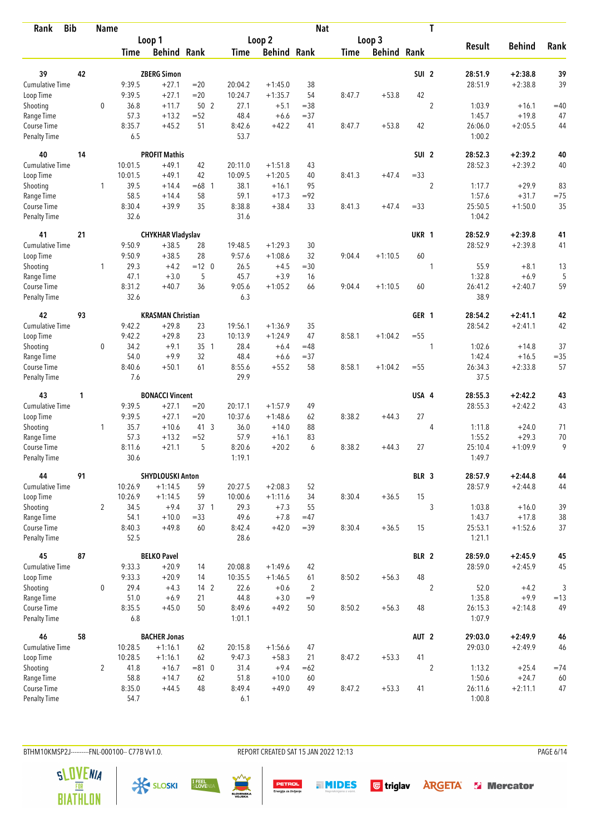| <b>Bib</b><br>Rank     |    | <b>Name</b>    |                    |                          |              |                    |                     | <b>Nat</b>     |             |                    |                  | T              |                  |                    |            |
|------------------------|----|----------------|--------------------|--------------------------|--------------|--------------------|---------------------|----------------|-------------|--------------------|------------------|----------------|------------------|--------------------|------------|
|                        |    |                |                    | Loop 1                   |              |                    | Loop <sub>2</sub>   |                |             | Loop 3             |                  |                |                  |                    |            |
|                        |    |                | <b>Time</b>        | <b>Behind Rank</b>       |              | <b>Time</b>        | <b>Behind Rank</b>  |                | <b>Time</b> | <b>Behind Rank</b> |                  |                | <b>Result</b>    | <b>Behind</b>      | Rank       |
| 39                     | 42 |                |                    | <b>ZBERG Simon</b>       |              |                    |                     |                |             |                    | SUI <sub>2</sub> |                | 28:51.9          | $+2:38.8$          | 39         |
| Cumulative Time        |    |                | 9:39.5             | $+27.1$                  | $=20$        | 20:04.2            | $+1:45.0$           | 38             |             |                    |                  |                | 28:51.9          | $+2:38.8$          | 39         |
| Loop Time              |    |                | 9:39.5             | $+27.1$                  | $=20$        | 10:24.7            | $+1:35.7$           | 54             | 8:47.7      | $+53.8$            | 42               |                |                  |                    |            |
| Shooting               |    | $\mathbf 0$    | 36.8               | $+11.7$                  | 50 2         | 27.1               | $+5.1$              | $= 38$         |             |                    |                  | $\overline{2}$ | 1:03.9           | $+16.1$            | $=40$      |
| Range Time             |    |                | 57.3               | $+13.2$                  | $= 52$       | 48.4               | $+6.6$              | $= 37$         |             |                    |                  |                | 1:45.7           | $+19.8$            | 47         |
| Course Time            |    |                | 8:35.7             | $+45.2$                  | 51           | 8:42.6             | $+42.2$             | 41             | 8:47.7      | $+53.8$            | 42               |                | 26:06.0          | $+2:05.5$          | 44         |
| <b>Penalty Time</b>    |    |                | 6.5                |                          |              | 53.7               |                     |                |             |                    |                  |                | 1:00.2           |                    |            |
| 40                     | 14 |                |                    | <b>PROFIT Mathis</b>     |              |                    |                     |                |             |                    | SUI <sub>2</sub> |                | 28:52.3          | $+2:39.2$          | 40         |
| Cumulative Time        |    |                | 10:01.5            | $+49.1$                  | 42           | 20:11.0            | $+1:51.8$           | 43             |             |                    |                  |                | 28:52.3          | $+2:39.2$          | 40         |
| Loop Time              |    |                | 10:01.5            | $+49.1$                  | 42           | 10:09.5            | $+1:20.5$           | 40             | 8:41.3      | $+47.4$            | $= 33$           |                |                  |                    |            |
| Shooting               |    | 1              | 39.5               | $+14.4$                  | $=68$ 1      | 38.1               | $+16.1$             | 95             |             |                    |                  | $\overline{2}$ | 1:17.7           | $+29.9$            | 83         |
| Range Time             |    |                | 58.5               | $+14.4$                  | 58           | 59.1               | $+17.3$             | $= 92$         |             |                    |                  |                | 1:57.6           | $+31.7$            | $=75$      |
| Course Time            |    |                | 8:30.4             | $+39.9$                  | 35           | 8:38.8             | $+38.4$             | 33             | 8:41.3      | $+47.4$            | $= 33$           |                | 25:50.5          | $+1:50.0$          | 35         |
| <b>Penalty Time</b>    |    |                | 32.6               |                          |              | 31.6               |                     |                |             |                    |                  |                | 1:04.2           |                    |            |
| 41                     | 21 |                |                    | <b>CHYKHAR Vladyslav</b> |              |                    |                     |                |             |                    | UKR 1            |                | 28:52.9          | $+2:39.8$          | 41         |
| Cumulative Time        |    |                | 9:50.9             | $+38.5$                  | 28           | 19:48.5            | $+1:29.3$           | 30             |             |                    |                  |                | 28:52.9          | $+2:39.8$          | 41         |
| Loop Time              |    |                | 9:50.9             | $+38.5$                  | 28           | 9:57.6             | $+1:08.6$           | 32             | 9:04.4      | $+1:10.5$          | 60               |                |                  |                    |            |
| Shooting               |    | $\mathbf{1}$   | 29.3               | $+4.2$                   | $=12$ 0      | 26.5               | $+4.5$              | $= 30$         |             |                    |                  | 1              | 55.9             | $+8.1$             | 13         |
| Range Time             |    |                | 47.1               | $+3.0$                   | 5            | 45.7               | $+3.9$              | 16             |             |                    |                  |                | 1:32.8           | $+6.9$             | 5          |
| Course Time            |    |                | 8:31.2             | $+40.7$                  | 36           | 9:05.6             | $+1:05.2$           | 66             | 9:04.4      | $+1:10.5$          | 60               |                | 26:41.2          | $+2:40.7$          | 59         |
| <b>Penalty Time</b>    |    |                | 32.6               |                          |              | 6.3                |                     |                |             |                    |                  |                | 38.9             |                    |            |
| 42                     | 93 |                |                    | <b>KRASMAN Christian</b> |              |                    |                     |                |             |                    | GER 1            |                | 28:54.2          | $+2:41.1$          | 42         |
| Cumulative Time        |    |                | 9:42.2             | $+29.8$                  | 23           | 19:56.1            | $+1:36.9$           | 35             |             |                    |                  |                | 28:54.2          | $+2:41.1$          | 42         |
| Loop Time              |    |                | 9:42.2             | $+29.8$                  | 23           | 10:13.9            | $+1:24.9$           | 47             | 8:58.1      | $+1:04.2$          | $=55$            |                |                  |                    |            |
| Shooting               |    | 0              | 34.2               | $+9.1$                   | 35 1         | 28.4               | $+6.4$              | $=48$          |             |                    |                  | 1              | 1:02.6           | $+14.8$            | 37         |
| Range Time             |    |                | 54.0               | $+9.9$                   | 32           | 48.4               | $+6.6$              | $= 37$         |             |                    |                  |                | 1:42.4           | $+16.5$            | $= 35$     |
| Course Time            |    |                | 8:40.6             | $+50.1$                  | 61           | 8:55.6             | $+55.2$             | 58             | 8:58.1      | $+1:04.2$          | $=55$            |                | 26:34.3          | $+2:33.8$          | 57         |
| <b>Penalty Time</b>    |    |                | 7.6                |                          |              | 29.9               |                     |                |             |                    |                  |                | 37.5             |                    |            |
| 43                     | 1  |                |                    | <b>BONACCI Vincent</b>   |              |                    |                     |                |             |                    | USA 4            |                | 28:55.3          | $+2:42.2$          | 43         |
| Cumulative Time        |    |                | 9:39.5             | $+27.1$                  | $= 20$       | 20:17.1            | $+1:57.9$           | 49             |             |                    |                  |                | 28:55.3          | $+2:42.2$          | 43         |
| Loop Time              |    |                | 9:39.5             | $+27.1$                  | $=20$        | 10:37.6            | $+1:48.6$           | 62             | 8:38.2      | $+44.3$            | 27               |                |                  |                    |            |
| Shooting               |    | $\mathbf{1}$   | 35.7               | $+10.6$                  | $41 \quad 3$ | 36.0               | $+14.0$             | 88             |             |                    |                  | $\overline{4}$ | 1:11.8           | $+24.0$            | 71         |
| Range Time             |    |                | 57.3               | $+13.2$                  | $= 52$       | 57.9               | $+16.1$             | 83             |             |                    |                  |                | 1:55.2           | $+29.3$            | 70         |
| Course Time            |    |                | 8:11.6             | $+21.1$                  | 5            | 8:20.6             | $+20.2$             | 6              | 8:38.2      | $+44.3$            | 27               |                | 25:10.4          | $+1:09.9$          | 9          |
| <b>Penalty Time</b>    |    |                | 30.6               |                          |              | 1:19.1             |                     |                |             |                    |                  |                | 1:49.7           |                    |            |
| 44                     | 91 |                |                    | <b>SHYDLOUSKI Anton</b>  |              |                    |                     |                |             |                    | BLR 3            |                | 28:57.9          | $+2:44.8$          | 44         |
| <b>Cumulative Time</b> |    |                | 10:26.9<br>10:26.9 | $+1:14.5$                | 59<br>59     | 20:27.5<br>10:00.6 | $+2:08.3$           | 52<br>34       |             |                    | 15               |                | 28:57.9          | $+2:44.8$          | 44         |
| Loop Time              |    | $\overline{2}$ | 34.5               | $+1:14.5$<br>$+9.4$      | 37 1         | 29.3               | $+1:11.6$<br>$+7.3$ | 55             | 8:30.4      | $+36.5$            |                  | 3              |                  |                    |            |
| Shooting<br>Range Time |    |                | 54.1               | $+10.0$                  | $= 33$       | 49.6               | $+7.8$              | $=47$          |             |                    |                  |                | 1:03.8<br>1:43.7 | $+16.0$<br>$+17.8$ | 39<br>38   |
| Course Time            |    |                | 8:40.3             | $+49.8$                  | 60           | 8:42.4             | $+42.0$             | $=39$          | 8:30.4      | $+36.5$            | 15               |                | 25:53.1          | $+1:52.6$          | 37         |
| Penalty Time           |    |                | 52.5               |                          |              | 28.6               |                     |                |             |                    |                  |                | 1:21.1           |                    |            |
| 45                     | 87 |                |                    | <b>BELKO Pavel</b>       |              |                    |                     |                |             |                    | BLR 2            |                | 28:59.0          | $+2:45.9$          | 45         |
| Cumulative Time        |    |                | 9:33.3             | $+20.9$                  | 14           | 20:08.8            | $+1:49.6$           | 42             |             |                    |                  |                | 28:59.0          | $+2:45.9$          | 45         |
| Loop Time              |    |                | 9:33.3             | $+20.9$                  | 14           | 10:35.5            | $+1:46.5$           | 61             | 8:50.2      | $+56.3$            | 48               |                |                  |                    |            |
| Shooting               |    | 0              | 29.4               | $+4.3$                   | $142$        | 22.6               | $+0.6$              | $\overline{2}$ |             |                    |                  | $\sqrt{2}$     | 52.0             | $+4.2$             | $\sqrt{3}$ |
| Range Time             |    |                | 51.0               | $+6.9$                   | 21           | 44.8               | $+3.0$              | $=9$           |             |                    |                  |                | 1:35.8           | $+9.9$             | $=13$      |
| Course Time            |    |                | 8:35.5             | $+45.0$                  | 50           | 8:49.6             | $+49.2$             | 50             | 8:50.2      | $+56.3$            | 48               |                | 26:15.3          | $+2:14.8$          | 49         |
| Penalty Time           |    |                | 6.8                |                          |              | 1:01.1             |                     |                |             |                    |                  |                | 1:07.9           |                    |            |
| 46                     | 58 |                |                    | <b>BACHER Jonas</b>      |              |                    |                     |                |             |                    | AUT <sub>2</sub> |                | 29:03.0          | $+2:49.9$          | 46         |
| <b>Cumulative Time</b> |    |                | 10:28.5            | $+1:16.1$                | 62           | 20:15.8            | $+1:56.6$           | 47             |             |                    |                  |                | 29:03.0          | $+2:49.9$          | 46         |
| Loop Time              |    |                | 10:28.5            | $+1:16.1$                | 62           | 9:47.3             | $+58.3$             | 21             | 8:47.2      | $+53.3$            | 41               |                |                  |                    |            |
| Shooting               |    | $\overline{2}$ | 41.8               | $+16.7$                  | $= 810$      | 31.4               | $+9.4$              | $=62$          |             |                    |                  | $\overline{2}$ | 1:13.2           | $+25.4$            | $=74$      |
| Range Time             |    |                | 58.8               | $+14.7$                  | 62           | 51.8               | $+10.0$             | 60             |             |                    |                  |                | 1:50.6           | $+24.7$            | 60         |
| Course Time            |    |                | 8:35.0             | $+44.5$                  | 48           | 8:49.4             | $+49.0$             | 49             | 8:47.2      | $+53.3$            | 41               |                | 26:11.6          | $+2:11.1$          | 47         |
| <b>Penalty Time</b>    |    |                | 54.7               |                          |              | 6.1                |                     |                |             |                    |                  |                | 1:00.8           |                    |            |

BTHM10KMSP2J---------FNL-000100-- C77B Vv1.0. REPORT CREATED SAT 15 JAN 2022 12:13 PAGE 6/14











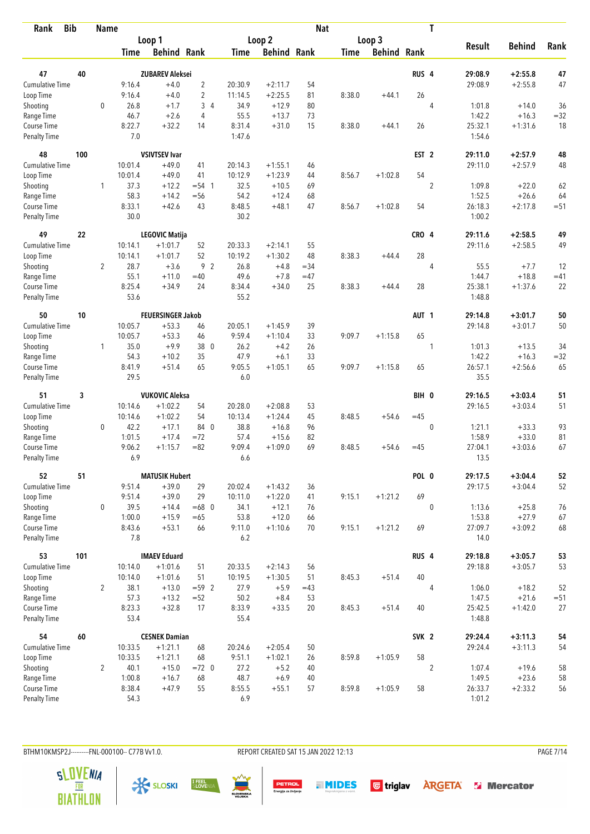| <b>Bib</b><br>Rank                 |     | <b>Name</b>    |                |                                   |                  |                |                    | <b>Nat</b> |             |                    |                  | T              |                    |                        |          |
|------------------------------------|-----|----------------|----------------|-----------------------------------|------------------|----------------|--------------------|------------|-------------|--------------------|------------------|----------------|--------------------|------------------------|----------|
|                                    |     |                |                | Loop 1                            |                  |                | Loop <sub>2</sub>  |            |             | Loop 3             |                  |                |                    |                        |          |
|                                    |     |                | <b>Time</b>    | <b>Behind Rank</b>                |                  | <b>Time</b>    | <b>Behind Rank</b> |            | <b>Time</b> | <b>Behind Rank</b> |                  |                | <b>Result</b>      | <b>Behind</b>          | Rank     |
| 47                                 | 40  |                |                | <b>ZUBAREV Aleksei</b>            |                  |                |                    |            |             |                    | RUS <sub>4</sub> |                | 29:08.9            | $+2:55.8$              | 47       |
| <b>Cumulative Time</b>             |     |                | 9:16.4         | $+4.0$                            | $\overline{2}$   | 20:30.9        | $+2:11.7$          | 54         |             |                    |                  |                | 29:08.9            | $+2:55.8$              | 47       |
| Loop Time                          |     |                | 9:16.4         | $+4.0$                            | $\overline{c}$   | 11:14.5        | $+2:25.5$          | 81         | 8:38.0      | $+44.1$            | 26               |                |                    |                        |          |
| Shooting                           |     | $\mathbf 0$    | 26.8           | $+1.7$                            | 34               | 34.9           | $+12.9$            | 80         |             |                    |                  | $\overline{4}$ | 1:01.8             | $+14.0$                | 36       |
| Range Time                         |     |                | 46.7           | $+2.6$                            | 4                | 55.5           | $+13.7$            | 73         |             |                    |                  |                | 1:42.2             | $+16.3$                | $= 32$   |
| Course Time                        |     |                | 8:22.7         | $+32.2$                           | 14               | 8:31.4         | $+31.0$            | 15         | 8:38.0      | $+44.1$            | 26               |                | 25:32.1            | $+1:31.6$              | 18       |
| <b>Penalty Time</b>                |     |                | 7.0            |                                   |                  | 1:47.6         |                    |            |             |                    |                  |                | 1:54.6             |                        |          |
| 48                                 | 100 |                |                | <b>VSIVTSEV Ivar</b>              |                  |                |                    |            |             |                    | EST <sub>2</sub> |                | 29:11.0            | $+2:57.9$              | 48       |
| Cumulative Time                    |     |                | 10:01.4        | $+49.0$                           | 41               | 20:14.3        | $+1:55.1$          | 46         |             |                    |                  |                | 29:11.0            | $+2:57.9$              | 48       |
| Loop Time                          |     |                | 10:01.4        | $+49.0$                           | 41               | 10:12.9        | $+1:23.9$          | 44         | 8:56.7      | $+1:02.8$          | 54               |                |                    |                        |          |
| Shooting                           |     | 1              | 37.3           | $+12.2$                           | $= 54 \quad 1$   | 32.5           | $+10.5$            | 69         |             |                    |                  | $\overline{2}$ | 1:09.8             | $+22.0$                | 62       |
| Range Time                         |     |                | 58.3           | $+14.2$                           | $=$ 56           | 54.2           | $+12.4$            | 68         |             |                    |                  |                | 1:52.5             | $+26.6$                | 64       |
| Course Time                        |     |                | 8:33.1         | $+42.6$                           | 43               | 8:48.5         | $+48.1$            | 47         | 8:56.7      | $+1:02.8$          | 54               |                | 26:18.3            | $+2:17.8$              | $=51$    |
| <b>Penalty Time</b>                |     |                | 30.0           |                                   |                  | 30.2           |                    |            |             |                    |                  |                | 1:00.2             |                        |          |
| 49                                 | 22  |                |                | <b>LEGOVIC Matija</b>             |                  |                |                    |            |             |                    | CRO 4            |                | 29:11.6            | $+2:58.5$              | 49       |
| Cumulative Time                    |     |                | 10:14.1        | $+1:01.7$                         | 52               | 20:33.3        | $+2:14.1$          | 55         |             |                    |                  |                | 29:11.6            | $+2:58.5$              | 49       |
| Loop Time                          |     |                | 10:14.1        | $+1:01.7$                         | 52               | 10:19.2        | $+1:30.2$          | 48         | 8:38.3      | $+44.4$            | 28               |                |                    |                        |          |
| Shooting                           |     | $\overline{2}$ | 28.7           | $+3.6$                            | 9 <sub>2</sub>   | 26.8           | $+4.8$             | $= 34$     |             |                    |                  | $\overline{4}$ | 55.5               | $+7.7$                 | 12       |
| Range Time                         |     |                | 55.1           | $+11.0$                           | $=40$            | 49.6           | $+7.8$             | $=47$      |             |                    |                  |                | 1:44.7             | $+18.8$                | $=41$    |
| Course Time<br><b>Penalty Time</b> |     |                | 8:25.4<br>53.6 | $+34.9$                           | 24               | 8:34.4<br>55.2 | $+34.0$            | 25         | 8:38.3      | $+44.4$            | 28               |                | 25:38.1<br>1:48.8  | $+1:37.6$              | 22       |
| 50                                 | 10  |                |                | <b>FEUERSINGER Jakob</b>          |                  |                |                    |            |             |                    | AUT <sub>1</sub> |                | 29:14.8            | $+3:01.7$              | 50       |
| Cumulative Time                    |     |                | 10:05.7        | $+53.3$                           | 46               | 20:05.1        | $+1:45.9$          | 39         |             |                    |                  |                | 29:14.8            | $+3:01.7$              | 50       |
| Loop Time                          |     |                | 10:05.7        | $+53.3$                           | 46               | 9:59.4         | $+1:10.4$          | 33         | 9:09.7      | $+1:15.8$          | 65               |                |                    |                        |          |
| Shooting                           |     | $\mathbf{1}$   | 35.0           | $+9.9$                            | 38 0             | 26.2           | $+4.2$             | 26         |             |                    |                  | 1              | 1:01.3             | $+13.5$                | 34       |
| Range Time                         |     |                | 54.3           | $+10.2$                           | 35               | 47.9           | $+6.1$             | 33         |             |                    |                  |                | 1:42.2             | $+16.3$                | $= 32$   |
| Course Time                        |     |                | 8:41.9         | $+51.4$                           | 65               | 9:05.5         | $+1:05.1$          | 65         | 9:09.7      | $+1:15.8$          | 65               |                | 26:57.1            | $+2:56.6$              | 65       |
| <b>Penalty Time</b>                |     |                | 29.5           |                                   |                  | 6.0            |                    |            |             |                    |                  |                | 35.5               |                        |          |
| 51                                 | 3   |                |                | <b>VUKOVIC Aleksa</b>             |                  |                |                    |            |             |                    | BIH 0            |                | 29:16.5            | $+3:03.4$              | 51       |
| Cumulative Time                    |     |                | 10:14.6        | $+1:02.2$                         | 54               | 20:28.0        | $+2:08.8$          | 53         |             |                    |                  |                | 29:16.5            | $+3:03.4$              | 51       |
| Loop Time                          |     |                | 10:14.6        | $+1:02.2$                         | 54               | 10:13.4        | $+1:24.4$          | 45         | 8:48.5      | $+54.6$            | $=45$            |                |                    |                        |          |
| Shooting                           |     | $\Omega$       | 42.2           | $+17.1$                           | 84 0             | 38.8           | $+16.8$            | 96         |             |                    |                  | $\mathbf 0$    | 1:21.1             | $+33.3$                | 93       |
| Range Time                         |     |                | 1:01.5         | $+17.4$                           | $= 72$           | 57.4           | $+15.6$            | 82         |             |                    |                  |                | 1:58.9             | $+33.0$                | 81       |
| Course Time<br><b>Penalty Time</b> |     |                | 9:06.2<br>6.9  | $+1:15.7$                         | $= 82$           | 9:09.4<br>6.6  | $+1:09.0$          | 69         | 8:48.5      | $+54.6$            | $=45$            |                | 27:04.1<br>13.5    | $+3:03.6$              | 67       |
|                                    |     |                |                |                                   |                  |                |                    |            |             |                    |                  |                |                    |                        |          |
| 52                                 | 51  |                |                | <b>MATUSIK Hubert</b>             |                  |                |                    |            |             |                    | POL 0            |                | 29:17.5            | $+3:04.4$              | 52       |
| <b>Cumulative Time</b>             |     |                | 9:51.4         | $+39.0$                           | 29               | 20:02.4        | $+1:43.2$          | 36         |             |                    |                  |                | 29:17.5            | $+3:04.4$              | 52       |
| Loop Time                          |     | 0              | 9:51.4<br>39.5 | $+39.0$                           | 29               | 10:11.0        | $+1:22.0$          | 41         | 9:15.1      | $+1:21.2$          | 69               |                |                    |                        |          |
| Shooting<br>Range Time             |     |                | 1:00.0         | $+14.4$<br>$+15.9$                | $=68$ 0<br>$=65$ | 34.1<br>53.8   | $+12.1$<br>$+12.0$ | 76<br>66   |             |                    |                  | $\mathbf 0$    | 1:13.6<br>1:53.8   | $+25.8$<br>$+27.9$     | 76<br>67 |
| Course Time                        |     |                | 8:43.6         | $+53.1$                           | 66               | 9:11.0         | $+1:10.6$          | 70         | 9:15.1      | $+1:21.2$          | 69               |                | 27:09.7            | $+3:09.2$              | 68       |
| Penalty Time                       |     |                | 7.8            |                                   |                  | 6.2            |                    |            |             |                    |                  |                | 14.0               |                        |          |
| 53                                 | 101 |                |                | <b>IMAEV Eduard</b>               |                  |                |                    |            |             |                    | RUS <sub>4</sub> |                | 29:18.8            | $+3:05.7$              | 53       |
| <b>Cumulative Time</b>             |     |                | 10:14.0        | $+1:01.6$                         | 51               | 20:33.5        | $+2:14.3$          | 56         |             |                    |                  |                | 29:18.8            | $+3:05.7$              | 53       |
| Loop Time                          |     |                | 10:14.0        | $+1:01.6$                         | 51               | 10:19.5        | $+1:30.5$          | 51         | 8:45.3      | $+51.4$            | 40               |                |                    |                        |          |
| Shooting                           |     | $\overline{2}$ | 38.1           | $+13.0$                           | $= 59$ 2         | 27.9           | $+5.9$             | $=43$      |             |                    |                  | $\overline{4}$ | 1:06.0             | $+18.2$                | 52       |
| Range Time                         |     |                | 57.3           | $+13.2$                           | $= 52$           | 50.2           | $+8.4$             | 53         |             |                    |                  |                | 1:47.5             | $+21.6$                | $= 51$   |
| Course Time                        |     |                | 8:23.3         | $+32.8$                           | 17               | 8:33.9         | $+33.5$            | 20         | 8:45.3      | $+51.4$            | 40               |                | 25:42.5            | $+1:42.0$              | 27       |
| Penalty Time                       |     |                | 53.4           |                                   |                  | 55.4           |                    |            |             |                    |                  |                | 1:48.8             |                        |          |
| 54<br><b>Cumulative Time</b>       | 60  |                | 10:33.5        | <b>CESNEK Damian</b><br>$+1:21.1$ | 68               | 20:24.6        | $+2:05.4$          | 50         |             |                    | SVK <sub>2</sub> |                | 29:24.4<br>29:24.4 | $+3:11.3$<br>$+3:11.3$ | 54<br>54 |
| Loop Time                          |     |                | 10:33.5        | $+1:21.1$                         | 68               | 9:51.1         | $+1:02.1$          | 26         | 8:59.8      | $+1:05.9$          | 58               |                |                    |                        |          |
| Shooting                           |     | $\overline{2}$ | 40.1           | $+15.0$                           | $=72$ 0          | 27.2           | $+5.2$             | 40         |             |                    |                  | $\overline{2}$ | 1:07.4             | $+19.6$                | 58       |
| Range Time                         |     |                | 1:00.8         | $+16.7$                           | 68               | 48.7           | $+6.9$             | 40         |             |                    |                  |                | 1:49.5             | $+23.6$                | 58       |
| Course Time                        |     |                | 8:38.4         | $+47.9$                           | 55               | 8:55.5         | $+55.1$            | 57         | 8:59.8      | $+1:05.9$          | 58               |                | 26:33.7            | $+2:33.2$              | 56       |
| <b>Penalty Time</b>                |     |                | 54.3           |                                   |                  | 6.9            |                    |            |             |                    |                  |                | 1:01.2             |                        |          |

BTHM10KMSP2J---------FNL-000100-- C77B Vv1.0. REPORT CREATED SAT 15 JAN 2022 12:13 PAGE 7/14







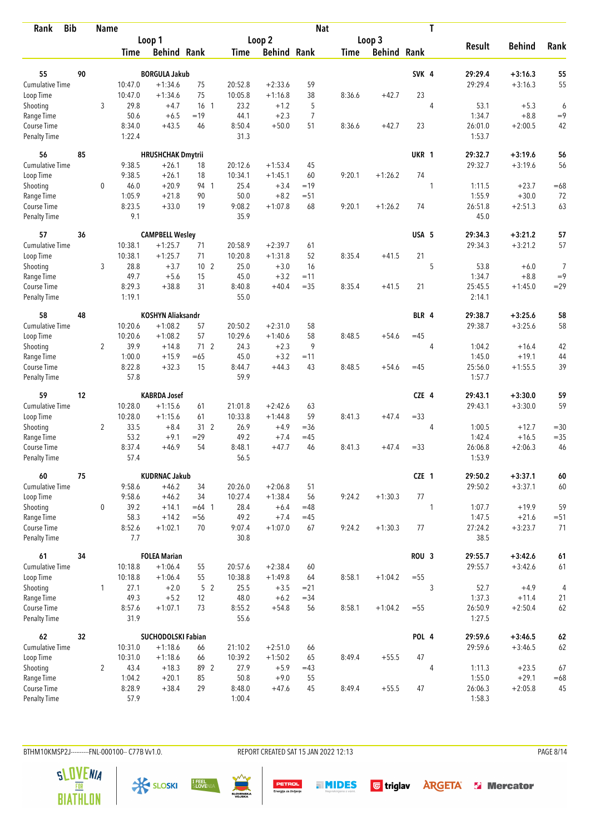| Rank                               | <b>Bib</b> | <b>Name</b>    |                  |                          |                 |                |                    | <b>Nat</b> |             |                    |                  | T              |                   |               |                |
|------------------------------------|------------|----------------|------------------|--------------------------|-----------------|----------------|--------------------|------------|-------------|--------------------|------------------|----------------|-------------------|---------------|----------------|
|                                    |            |                |                  | Loop 1                   |                 |                | Loop <sub>2</sub>  |            |             | Loop 3             |                  |                |                   |               |                |
|                                    |            |                | Time             | <b>Behind Rank</b>       |                 | Time           | <b>Behind Rank</b> |            | <b>Time</b> | <b>Behind Rank</b> |                  |                | <b>Result</b>     | <b>Behind</b> | Rank           |
| 55                                 | 90         |                |                  | <b>BORGULA Jakub</b>     |                 |                |                    |            |             |                    | SVK <sub>4</sub> |                | 29:29.4           | $+3:16.3$     | 55             |
| Cumulative Time                    |            |                | 10:47.0          | $+1:34.6$                | 75              | 20:52.8        | $+2:33.6$          | 59         |             |                    |                  |                | 29:29.4           | $+3:16.3$     | 55             |
| Loop Time                          |            |                | 10:47.0          | $+1:34.6$                | 75              | 10:05.8        | $+1:16.8$          | 38         | 8:36.6      | $+42.7$            | 23               |                |                   |               |                |
| Shooting                           |            | 3              | 29.8             | $+4.7$                   | 16 <sub>1</sub> | 23.2           | $+1.2$             | 5          |             |                    |                  | $\overline{4}$ | 53.1              | $+5.3$        | 6              |
| Range Time                         |            |                | 50.6             | $+6.5$                   | $=19$           | 44.1           | $+2.3$             | 7          |             |                    |                  |                | 1:34.7            | $+8.8$        | $=9$           |
| Course Time                        |            |                | 8:34.0           | $+43.5$                  | 46              | 8:50.4         | $+50.0$            | 51         | 8:36.6      | $+42.7$            | 23               |                | 26:01.0           | $+2:00.5$     | 42             |
| <b>Penalty Time</b>                |            |                | 1:22.4           |                          |                 | 31.3           |                    |            |             |                    |                  |                | 1:53.7            |               |                |
| 56                                 | 85         |                |                  | <b>HRUSHCHAK Dmytrii</b> |                 |                |                    |            |             |                    | UKR 1            |                | 29:32.7           | $+3:19.6$     | 56             |
| <b>Cumulative Time</b>             |            |                | 9:38.5           | $+26.1$                  | 18              | 20:12.6        | $+1:53.4$          | 45         |             |                    |                  |                | 29:32.7           | $+3:19.6$     | 56             |
| Loop Time                          |            |                | 9:38.5           | $+26.1$                  | 18              | 10:34.1        | $+1:45.1$          | 60         | 9:20.1      | $+1:26.2$          | 74               |                |                   |               |                |
| Shooting                           |            | 0              | 46.0             | $+20.9$                  | 94 1            | 25.4           | $+3.4$             | $=19$      |             |                    |                  | 1              | 1:11.5            | $+23.7$       | $=68$          |
| Range Time                         |            |                | 1:05.9           | $+21.8$                  | 90              | 50.0           | $+8.2$             | $= 51$     |             |                    |                  |                | 1:55.9            | $+30.0$       | 72             |
| Course Time                        |            |                | 8:23.5           | $+33.0$                  | 19              | 9:08.2         | $+1:07.8$          | 68         | 9:20.1      | $+1:26.2$          | 74               |                | 26:51.8           | $+2:51.3$     | 63             |
| Penalty Time                       |            |                | 9.1              |                          |                 | 35.9           |                    |            |             |                    |                  |                | 45.0              |               |                |
| 57                                 | 36         |                |                  | <b>CAMPBELL Wesley</b>   |                 |                |                    |            |             |                    | USA 5            |                | 29:34.3           | $+3:21.2$     | 57             |
| <b>Cumulative Time</b>             |            |                | 10:38.1          | $+1:25.7$                | 71              | 20:58.9        | $+2:39.7$          | 61         |             |                    |                  |                | 29:34.3           | $+3:21.2$     | 57             |
| Loop Time                          |            |                | 10:38.1          | $+1:25.7$                | 71              | 10:20.8        | $+1:31.8$          | 52         | 8:35.4      | $+41.5$            | 21               |                |                   |               |                |
| Shooting                           |            | 3              | 28.8             | $+3.7$                   | 10 <sub>2</sub> | 25.0           | $+3.0$             | 16         |             |                    |                  | 5              | 53.8              | $+6.0$        | $\overline{7}$ |
| Range Time                         |            |                | 49.7             | $+5.6$                   | 15              | 45.0           | $+3.2$             | $=11$      |             |                    |                  |                | 1:34.7            | $+8.8$        | $=9$           |
| Course Time<br><b>Penalty Time</b> |            |                | 8:29.3<br>1:19.1 | $+38.8$                  | 31              | 8:40.8<br>55.0 | $+40.4$            | $=35$      | 8:35.4      | $+41.5$            | 21               |                | 25:45.5<br>2:14.1 | $+1:45.0$     | $= 29$         |
| 58                                 | 48         |                |                  | <b>KOSHYN Aliaksandr</b> |                 |                |                    |            |             |                    | BLR 4            |                | 29:38.7           | $+3:25.6$     | 58             |
| Cumulative Time                    |            |                | 10:20.6          | $+1:08.2$                | 57              | 20:50.2        | $+2:31.0$          | 58         |             |                    |                  |                | 29:38.7           | $+3:25.6$     | 58             |
| Loop Time                          |            |                | 10:20.6          | $+1:08.2$                | 57              | 10:29.6        | $+1:40.6$          | 58         | 8:48.5      | $+54.6$            | $=45$            |                |                   |               |                |
| Shooting                           |            | $\overline{2}$ | 39.9             | $+14.8$                  | 712             | 24.3           | $+2.3$             | 9          |             |                    |                  | 4              | 1:04.2            | $+16.4$       | 42             |
| Range Time                         |            |                | 1:00.0           | $+15.9$                  | $=65$           | 45.0           | $+3.2$             | $=11$      |             |                    |                  |                | 1:45.0            | $+19.1$       | 44             |
| Course Time                        |            |                | 8:22.8           | $+32.3$                  | 15              | 8:44.7         | $+44.3$            | 43         | 8:48.5      | $+54.6$            | $=45$            |                | 25:56.0           | $+1:55.5$     | 39             |
| <b>Penalty Time</b>                |            |                | 57.8             |                          |                 | 59.9           |                    |            |             |                    |                  |                | 1:57.7            |               |                |
| 59                                 | 12         |                |                  | <b>KABRDA Josef</b>      |                 |                |                    |            |             |                    | CZE 4            |                | 29:43.1           | $+3:30.0$     | 59             |
| <b>Cumulative Time</b>             |            |                | 10:28.0          | $+1:15.6$                | 61              | 21:01.8        | $+2:42.6$          | 63         |             |                    |                  |                | 29:43.1           | $+3:30.0$     | 59             |
| Loop Time                          |            |                | 10:28.0          | $+1:15.6$                | 61              | 10:33.8        | $+1:44.8$          | 59         | 8:41.3      | $+47.4$            | $= 33$           |                |                   |               |                |
| Shooting                           |            | $\overline{2}$ | 33.5             | $+8.4$                   | 31 <sub>2</sub> | 26.9           | $+4.9$             | $= 36$     |             |                    |                  | 4              | 1:00.5            | $+12.7$       | $=30$          |
| Range Time                         |            |                | 53.2             | $+9.1$                   | $=29$           | 49.2           | $+7.4$             | $=45$      |             |                    |                  |                | 1:42.4            | $+16.5$       | $= 35$         |
| Course Time                        |            |                | 8:37.4           | $+46.9$                  | 54              | 8:48.1         | $+47.7$            | 46         | 8:41.3      | $+47.4$            | $= 33$           |                | 26:06.8           | $+2:06.3$     | 46             |
| <b>Penalty Time</b>                |            |                | 57.4             |                          |                 | 56.5           |                    |            |             |                    |                  |                | 1:53.9            |               |                |
| 60                                 | 75         |                |                  | <b>KUDRNAC Jakub</b>     |                 |                |                    |            |             |                    | CZE 1            |                | 29:50.2           | $+3:37.1$     | 60             |
| <b>Cumulative Time</b>             |            |                | 9:58.6           | $+46.2$                  | 34              | 20:26.0        | $+2:06.8$          | 51         |             |                    |                  |                | 29:50.2           | $+3:37.1$     | 60             |
| Loop Time                          |            |                | 9:58.6           | $+46.2$                  | 34              | 10:27.4        | $+1:38.4$          | 56         | 9:24.2      | $+1:30.3$          | 77               |                |                   |               |                |
| Shooting                           |            | $\mathbf 0$    | 39.2             | $+14.1$                  | $=64$ 1         | 28.4           | $+6.4$             | $=48$      |             |                    |                  | 1              | 1:07.7            | $+19.9$       | 59             |
| Range Time                         |            |                | 58.3             | $+14.2$                  | $= 56$          | 49.2           | $+7.4$             | $=45$      |             |                    |                  |                | 1:47.5            | $+21.6$       | $= 51$         |
| Course Time<br>Penalty Time        |            |                | 8:52.6<br>7.7    | $+1:02.1$                | 70              | 9:07.4<br>30.8 | $+1:07.0$          | 67         | 9:24.2      | $+1:30.3$          | 77               |                | 27:24.2<br>38.5   | $+3:23.7$     | 71             |
| 61                                 | 34         |                |                  | <b>FOLEA Marian</b>      |                 |                |                    |            |             |                    | ROU <sub>3</sub> |                | 29:55.7           | $+3:42.6$     | 61             |
| <b>Cumulative Time</b>             |            |                | 10:18.8          | $+1:06.4$                | 55              | 20:57.6        | $+2:38.4$          | 60         |             |                    |                  |                | 29:55.7           | $+3:42.6$     | 61             |
| Loop Time                          |            |                | 10:18.8          | $+1:06.4$                | 55              | 10:38.8        | $+1:49.8$          | 64         | 8:58.1      | $+1:04.2$          | $=55$            |                |                   |               |                |
| Shooting                           |            | $\mathbf{1}$   | 27.1             | $+2.0$                   | 5 <sub>2</sub>  | 25.5           | $+3.5$             | $= 21$     |             |                    |                  | 3              | 52.7              | $+4.9$        | 4              |
| Range Time                         |            |                | 49.3             | $+5.2$                   | 12              | 48.0           | $+6.2$             | $= 34$     |             |                    |                  |                | 1:37.3            | $+11.4$       | 21             |
| Course Time                        |            |                | 8:57.6           | $+1:07.1$                | 73              | 8:55.2         | $+54.8$            | 56         | 8:58.1      | $+1:04.2$          | $= 55$           |                | 26:50.9           | $+2:50.4$     | 62             |
| <b>Penalty Time</b>                |            |                | 31.9             |                          |                 | 55.6           |                    |            |             |                    |                  |                | 1:27.5            |               |                |
| 62                                 | 32         |                |                  | SUCHODOLSKI Fabian       |                 |                |                    |            |             |                    | POL 4            |                | 29:59.6           | $+3:46.5$     | 62             |
| <b>Cumulative Time</b>             |            |                | 10:31.0          | $+1:18.6$                | 66              | 21:10.2        | $+2:51.0$          | 66         |             |                    |                  |                | 29:59.6           | $+3:46.5$     | 62             |
| Loop Time                          |            |                | 10:31.0          | $+1:18.6$                | 66              | 10:39.2        | $+1:50.2$          | 65         | 8:49.4      | $+55.5$            | 47               |                |                   |               |                |
| Shooting                           |            | $\overline{2}$ | 43.4             | $+18.3$                  | 89 2            | 27.9           | $+5.9$             | $=43$      |             |                    |                  | 4              | 1:11.3            | $+23.5$       | 67             |
| Range Time                         |            |                | 1:04.2           | $+20.1$                  | 85              | 50.8           | $+9.0$             | 55         |             |                    |                  |                | 1:55.0            | $+29.1$       | $=68$          |
| Course Time                        |            |                | 8:28.9           | $+38.4$                  | 29              | 8:48.0         | $+47.6$            | 45         | 8:49.4      | $+55.5$            | 47               |                | 26:06.3           | $+2:05.8$     | 45             |
| <b>Penalty Time</b>                |            |                | 57.9             |                          |                 | 1:00.4         |                    |            |             |                    |                  |                | 1:58.3            |               |                |

BTHM10KMSP2J---------FNL-000100-- C77B Vv1.0. REPORT CREATED SAT 15 JAN 2022 12:13 PAGE 8/14









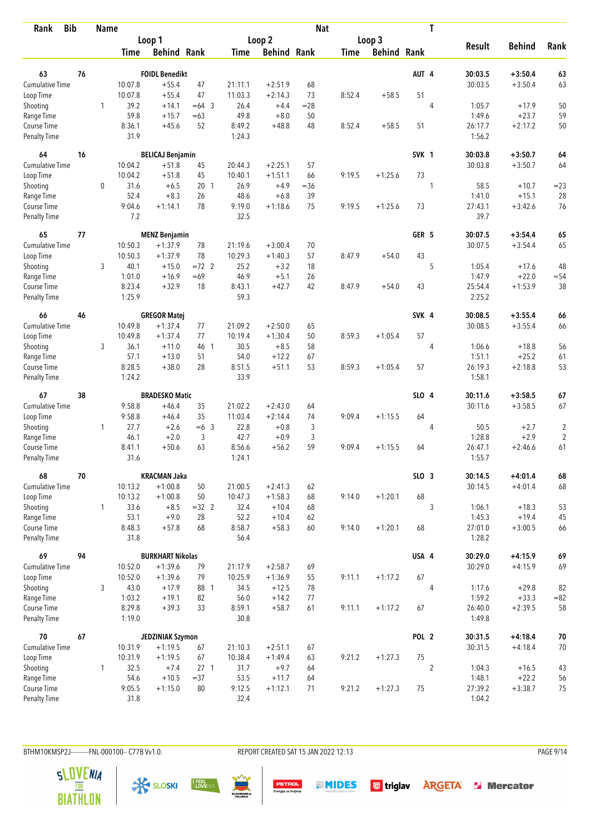| <b>Bib</b><br>Rank                 |    | <b>Name</b>  |                  |                         |                 |                |                    | <b>Nat</b> |             |                    |                  | T              |                   |                      |                |
|------------------------------------|----|--------------|------------------|-------------------------|-----------------|----------------|--------------------|------------|-------------|--------------------|------------------|----------------|-------------------|----------------------|----------------|
|                                    |    |              |                  | Loop 1                  |                 |                | Loop 2             |            |             | Loop 3             |                  |                |                   |                      |                |
|                                    |    |              | <b>Time</b>      | <b>Behind Rank</b>      |                 | <b>Time</b>    | <b>Behind Rank</b> |            | <b>Time</b> | <b>Behind Rank</b> |                  |                | <b>Result</b>     | <b>Behind</b>        | Rank           |
| 63                                 | 76 |              |                  | <b>FOIDL Benedikt</b>   |                 |                |                    |            |             |                    | AUT 4            |                | 30:03.5           | $+3:50.4$            | 63             |
| <b>Cumulative Time</b>             |    |              | 10:07.8          | $+55.4$                 | 47              | 21:11.1        | $+2:51.9$          | 68         |             |                    |                  |                | 30:03.5           | $+3:50.4$            | 63             |
| Loop Time                          |    |              | 10:07.8          | $+55.4$                 | 47              | 11:03.3        | $+2:14.3$          | 73         | 8:52.4      | $+58.5$            | 51               |                |                   |                      |                |
| Shooting                           |    | $\mathbf{1}$ | 39.2             | $+14.1$                 | $=64$ 3         | 26.4           | $+4.4$             | $= 28$     |             |                    |                  | $\overline{4}$ | 1:05.7            | $+17.9$              | 50             |
| Range Time                         |    |              | 59.8             | $+15.7$                 | $=63$           | 49.8           | $+8.0$             | 50         |             |                    |                  |                | 1:49.6            | $+23.7$              | 59             |
| Course Time                        |    |              | 8:36.1           | $+45.6$                 | 52              | 8:49.2         | $+48.8$            | 48         | 8:52.4      | $+58.5$            | 51               |                | 26:17.7           | $+2:17.2$            | 50             |
| <b>Penalty Time</b>                |    |              | 31.9             |                         |                 | 1:24.3         |                    |            |             |                    |                  |                | 1:56.2            |                      |                |
| 64                                 | 16 |              |                  | <b>BELICAJ Benjamin</b> |                 |                |                    |            |             |                    | SVK 1            |                | 30:03.8           | $+3:50.7$            | 64             |
| Cumulative Time                    |    |              | 10:04.2          | $+51.8$                 | 45              | 20:44.3        | $+2:25.1$          | 57         |             |                    |                  |                | 30:03.8           | $+3:50.7$            | 64             |
| Loop Time                          |    |              | 10:04.2          | $+51.8$                 | 45              | 10:40.1        | $+1:51.1$          | 66         | 9:19.5      | $+1:25.6$          | 73               |                |                   |                      |                |
| Shooting                           |    | 0            | 31.6             | $+6.5$                  | 201             | 26.9           | $+4.9$             | $= 36$     |             |                    |                  | 1              | 58.5              | $+10.7$              | $= 23$         |
| Range Time                         |    |              | 52.4             | $+8.3$                  | 26              | 48.6           | $+6.8$             | 39         |             |                    |                  |                | 1:41.0            | $+15.1$              | 28             |
| Course Time                        |    |              | 9:04.6           | $+1:14.1$               | 78              | 9:19.0         | $+1:18.6$          | 75         | 9:19.5      | $+1:25.6$          | 73               |                | 27:43.1           | $+3:42.6$            | 76             |
| <b>Penalty Time</b>                |    |              | 7.2              |                         |                 | 32.5           |                    |            |             |                    |                  |                | 39.7              |                      |                |
| 65                                 | 77 |              |                  | <b>MENZ Benjamin</b>    |                 |                |                    |            |             |                    | GER 5            |                | 30:07.5           | $+3:54.4$            | 65             |
| Cumulative Time                    |    |              | 10:50.3          | $+1:37.9$               | 78              | 21:19.6        | $+3:00.4$          | 70         |             |                    |                  |                | 30:07.5           | $+3:54.4$            | 65             |
| Loop Time                          |    |              | 10:50.3          | $+1:37.9$               | 78              | 10:29.3        | $+1:40.3$          | 57         | 8:47.9      | $+54.0$            | 43               |                |                   |                      |                |
| Shooting                           |    | 3            | 40.1             | $+15.0$                 | $=72$ 2         | 25.2           | $+3.2$             | 18         |             |                    |                  | 5              | 1:05.4            | $+17.6$              | 48             |
| Range Time                         |    |              | 1:01.0           | $+16.9$                 | $=69$<br>18     | 46.9           | $+5.1$<br>$+42.7$  | 26<br>42   | 8:47.9      |                    | 43               |                | 1:47.9            | $+22.0$<br>$+1:53.9$ | $= 54$         |
| Course Time<br><b>Penalty Time</b> |    |              | 8:23.4<br>1:25.9 | $+32.9$                 |                 | 8:43.1<br>59.3 |                    |            |             | $+54.0$            |                  |                | 25:54.4<br>2:25.2 |                      | 38             |
| 66                                 | 46 |              |                  | <b>GREGOR Matej</b>     |                 |                |                    |            |             |                    | SVK 4            |                | 30:08.5           | $+3:55.4$            | 66             |
| Cumulative Time                    |    |              | 10:49.8          | $+1:37.4$               | 77              | 21:09.2        | $+2:50.0$          | 65         |             |                    |                  |                | 30:08.5           | $+3:55.4$            | 66             |
| Loop Time                          |    |              | 10:49.8          | $+1:37.4$               | 77              | 10:19.4        | $+1:30.4$          | 50         | 8:59.3      | $+1:05.4$          | 57               |                |                   |                      |                |
| Shooting                           |    | 3            | 36.1             | $+11.0$                 | 46 1            | 30.5           | $+8.5$             | 58         |             |                    |                  | $\overline{4}$ | 1:06.6            | $+18.8$              | 56             |
| Range Time                         |    |              | 57.1             | $+13.0$                 | 51              | 54.0           | $+12.2$            | 67         |             |                    |                  |                | 1:51.1            | $+25.2$              | 61             |
| Course Time                        |    |              | 8:28.5           | $+38.0$                 | 28              | 8:51.5         | $+51.1$            | 53         | 8:59.3      | $+1:05.4$          | 57               |                | 26:19.3           | $+2:18.8$            | 53             |
| <b>Penalty Time</b>                |    |              | 1:24.2           |                         |                 | 33.9           |                    |            |             |                    |                  |                | 1:58.1            |                      |                |
| 67                                 | 38 |              |                  | <b>BRADESKO Matic</b>   |                 |                |                    |            |             |                    | SLO 4            |                | 30:11.6           | $+3:58.5$            | 67             |
| <b>Cumulative Time</b>             |    |              | 9:58.8           | $+46.4$                 | 35              | 21:02.2        | $+2:43.0$          | 64         |             |                    |                  |                | 30:11.6           | $+3:58.5$            | 67             |
| Loop Time                          |    |              | 9:58.8           | $+46.4$                 | 35              | 11:03.4        | $+2:14.4$          | 74         | 9:09.4      | $+1:15.5$          | 64               |                |                   |                      |                |
| Shooting                           |    | $\mathbf{1}$ | 27.7             | $+2.6$                  | $=6$ 3          | 22.8           | $+0.8$             | 3          |             |                    |                  | 4              | 50.5              | $+2.7$               | $\sqrt{2}$     |
| Range Time                         |    |              | 46.1             | $+2.0$                  | 3               | 42.7           | $+0.9$             | 3          |             |                    |                  |                | 1:28.8            | $+2.9$               | $\overline{2}$ |
| Course Time                        |    |              | 8:41.1           | $+50.6$                 | 63              | 8:56.6         | $+56.2$            | 59         | 9:09.4      | $+1:15.5$          | 64               |                | 26:47.1           | $+2:46.6$            | 61             |
| <b>Penalty Time</b>                |    |              | 31.6             |                         |                 | 1:24.1         |                    |            |             |                    |                  |                | 1:55.7            |                      |                |
| 68                                 | 70 |              |                  | <b>KRACMAN Jaka</b>     |                 |                |                    |            |             |                    | SLO 3            |                | 30:14.5           | $+4:01.4$            | 68             |
| <b>Cumulative Time</b>             |    |              | 10:13.2          | $+1:00.8$               | 50              | 21:00.5        | $+2:41.3$          | 62         |             |                    |                  |                | 30:14.5           | $+4:01.4$            | 68             |
| Loop Time                          |    |              | 10:13.2          | $+1:00.8$               | 50              | 10:47.3        | $+1:58.3$          | 68         | 9:14.0      | $+1:20.1$          | 68               |                |                   |                      |                |
| Shooting                           |    | $\mathbf{1}$ | 33.6             | $+8.5$                  | $=32$ 2         | 32.4           | $+10.4$            | 68         |             |                    |                  | 3              | 1:06.1            | $+18.3$              | 53             |
| Range Time                         |    |              | 53.1             | $+9.0$                  | 28              | 52.2           | $+10.4$            | 62         |             |                    |                  |                | 1:45.3            | $+19.4$              | 45             |
| Course Time<br>Penalty Time        |    |              | 8:48.3<br>31.8   | $+57.8$                 | 68              | 8:58.7<br>56.4 | $+58.3$            | 60         | 9:14.0      | $+1:20.1$          | 68               |                | 27:01.0<br>1:28.2 | $+3:00.5$            | 66             |
| 69                                 | 94 |              |                  | <b>BURKHART Nikolas</b> |                 |                |                    |            |             |                    | USA 4            |                | 30:29.0           | $+4:15.9$            | 69             |
| <b>Cumulative Time</b>             |    |              | 10:52.0          | $+1:39.6$               | 79              | 21:17.9        | $+2:58.7$          | 69         |             |                    |                  |                | 30:29.0           | $+4:15.9$            | 69             |
| Loop Time                          |    |              | 10:52.0          | $+1:39.6$               | 79              | 10:25.9        | $+1:36.9$          | 55         | 9:11.1      | $+1:17.2$          | 67               |                |                   |                      |                |
| Shooting                           |    | 3            | 43.0             | $+17.9$                 | 88 1            | 34.5           | $+12.5$            | 78         |             |                    |                  | 4              | 1:17.6            | $+29.8$              | 82             |
| Range Time                         |    |              | 1:03.2           | $+19.1$                 | 82              | 56.0           | $+14.2$            | 77         |             |                    |                  |                | 1:59.2            | $+33.3$              | $= 82$         |
| Course Time                        |    |              | 8:29.8           | $+39.3$                 | 33              | 8:59.1         | $+58.7$            | 61         | 9:11.1      | $+1:17.2$          | 67               |                | 26:40.0           | $+2:39.5$            | 58             |
| Penalty Time                       |    |              | 1:19.0           |                         |                 | 30.8           |                    |            |             |                    |                  |                | 1:49.8            |                      |                |
| 70                                 | 67 |              |                  | JEDZINIAK Szymon        |                 |                |                    |            |             |                    | POL <sub>2</sub> |                | 30:31.5           | $+4:18.4$            | 70             |
| <b>Cumulative Time</b>             |    |              | 10:31.9          | $+1:19.5$               | 67              | 21:10.3        | $+2:51.1$          | 67         |             |                    |                  |                | 30:31.5           | $+4:18.4$            | 70             |
| Loop Time                          |    |              | 10:31.9          | $+1:19.5$               | 67              | 10:38.4        | $+1:49.4$          | 63         | 9:21.2      | $+1:27.3$          | 75               |                |                   |                      |                |
| Shooting                           |    | 1            | 32.5             | $+7.4$                  | 27 <sub>1</sub> | 31.7           | $+9.7$             | 64         |             |                    |                  | $\overline{2}$ | 1:04.3            | $+16.5$              | 43             |
| Range Time                         |    |              | 54.6             | $+10.5$                 | $= 37$          | 53.5           | $+11.7$            | 64         |             |                    |                  |                | 1:48.1            | $+22.2$              | 56             |
| Course Time                        |    |              | 9:05.5           | $+1:15.0$               | 80              | 9:12.5         | $+1:12.1$          | 71         | 9:21.2      | $+1:27.3$          | 75               |                | 27:39.2           | $+3:38.7$            | 75             |
| Penalty Time                       |    |              | 31.8             |                         |                 | 32.4           |                    |            |             |                    |                  |                | 1:04.2            |                      |                |

BTHM10KMSP2J---------FNL-000100-- C77B Vv1.0. REPORT CREATED SAT 15 JAN 2022 12:13 PAGE 9/14









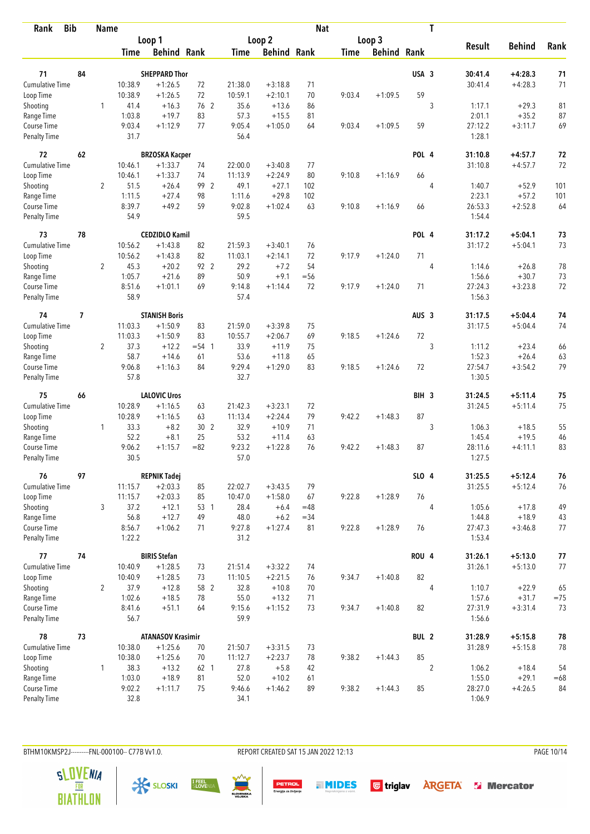| <b>Bib</b><br>Rank          |    | <b>Name</b>    |                  |                          |                 |                |                    | <b>Nat</b> |             |                    |                  | T              |                   |               |       |
|-----------------------------|----|----------------|------------------|--------------------------|-----------------|----------------|--------------------|------------|-------------|--------------------|------------------|----------------|-------------------|---------------|-------|
|                             |    |                |                  | Loop 1                   |                 |                | Loop <sub>2</sub>  |            |             | Loop 3             |                  |                |                   |               |       |
|                             |    |                | <b>Time</b>      | <b>Behind Rank</b>       |                 | Time           | <b>Behind Rank</b> |            | <b>Time</b> | <b>Behind Rank</b> |                  |                | <b>Result</b>     | <b>Behind</b> | Rank  |
| 71                          | 84 |                |                  | <b>SHEPPARD Thor</b>     |                 |                |                    |            |             |                    | USA 3            |                | 30:41.4           | $+4:28.3$     | 71    |
| <b>Cumulative Time</b>      |    |                | 10:38.9          | $+1:26.5$                | 72              | 21:38.0        | $+3:18.8$          | 71         |             |                    |                  |                | 30:41.4           | $+4:28.3$     | 71    |
| Loop Time                   |    |                | 10:38.9          | $+1:26.5$                | 72              | 10:59.1        | $+2:10.1$          | 70         | 9:03.4      | $+1:09.5$          | 59               |                |                   |               |       |
| Shooting                    |    | $\mathbf{1}$   | 41.4             | $+16.3$                  | 76 2            | 35.6           | $+13.6$            | 86         |             |                    |                  | 3              | 1:17.1            | $+29.3$       | 81    |
| Range Time                  |    |                | 1:03.8           | $+19.7$                  | 83              | 57.3           | $+15.5$            | 81         |             |                    |                  |                | 2:01.1            | $+35.2$       | 87    |
| Course Time                 |    |                | 9:03.4           | $+1:12.9$                | 77              | 9:05.4         | $+1:05.0$          | 64         | 9:03.4      | $+1:09.5$          | 59               |                | 27:12.2           | $+3:11.7$     | 69    |
| <b>Penalty Time</b>         |    |                | 31.7             |                          |                 | 56.4           |                    |            |             |                    |                  |                | 1:28.1            |               |       |
| 72                          | 62 |                |                  | <b>BRZOSKA Kacper</b>    |                 |                |                    |            |             |                    | POL 4            |                | 31:10.8           | $+4:57.7$     | 72    |
| <b>Cumulative Time</b>      |    |                | 10:46.1          | $+1:33.7$                | 74              | 22:00.0        | $+3:40.8$          | 77         |             |                    |                  |                | 31:10.8           | $+4:57.7$     | 72    |
| Loop Time                   |    |                | 10:46.1          | $+1:33.7$                | 74              | 11:13.9        | $+2:24.9$          | 80         | 9:10.8      | $+1:16.9$          | 66               |                |                   |               |       |
| Shooting                    |    | $\overline{2}$ | 51.5             | $+26.4$                  | 99 2            | 49.1           | $+27.1$            | 102        |             |                    |                  | $\overline{4}$ | 1:40.7            | $+52.9$       | 101   |
| Range Time                  |    |                | 1:11.5           | $+27.4$                  | 98              | 1:11.6         | $+29.8$            | 102        |             |                    |                  |                | 2:23.1            | $+57.2$       | 101   |
| Course Time                 |    |                | 8:39.7           | $+49.2$                  | 59              | 9:02.8         | $+1:02.4$          | 63         | 9:10.8      | $+1:16.9$          | 66               |                | 26:53.3           | $+2:52.8$     | 64    |
| <b>Penalty Time</b>         |    |                | 54.9             |                          |                 | 59.5           |                    |            |             |                    |                  |                | 1:54.4            |               |       |
| 73                          | 78 |                |                  | <b>CEDZIDLO Kamil</b>    |                 |                |                    |            |             |                    | POL 4            |                | 31:17.2           | $+5:04.1$     | 73    |
| <b>Cumulative Time</b>      |    |                | 10:56.2          | $+1:43.8$                | 82              | 21:59.3        | $+3:40.1$          | 76         |             |                    |                  |                | 31:17.2           | $+5:04.1$     | 73    |
| Loop Time                   |    |                | 10:56.2          | $+1:43.8$                | 82              | 11:03.1        | $+2:14.1$          | 72         | 9:17.9      | $+1:24.0$          | 71               |                |                   |               |       |
| Shooting                    |    | $\overline{2}$ | 45.3             | $+20.2$                  | 92 2            | 29.2           | $+7.2$             | 54         |             |                    |                  | $\overline{4}$ | 1:14.6            | $+26.8$       | 78    |
| Range Time                  |    |                | 1:05.7           | $+21.6$                  | 89              | 50.9           | $+9.1$             | $=$ 56     |             |                    |                  |                | 1:56.6            | $+30.7$       | 73    |
| Course Time                 |    |                | 8:51.6           | $+1:01.1$                | 69              | 9:14.8         | $+1:14.4$          | 72         | 9:17.9      | $+1:24.0$          | 71               |                | 27:24.3           | $+3:23.8$     | 72    |
| <b>Penalty Time</b>         |    |                | 58.9             |                          |                 | 57.4           |                    |            |             |                    |                  |                | 1:56.3            |               |       |
| 74                          | 7  |                |                  | <b>STANISH Boris</b>     |                 |                |                    |            |             |                    | AUS <sub>3</sub> |                | 31:17.5           | $+5:04.4$     | 74    |
| Cumulative Time             |    |                | 11:03.3          | $+1:50.9$                | 83              | 21:59.0        | $+3:39.8$          | 75         |             |                    |                  |                | 31:17.5           | $+5:04.4$     | 74    |
| Loop Time                   |    |                | 11:03.3          | $+1:50.9$                | 83              | 10:55.7        | $+2:06.7$          | 69         | 9:18.5      | $+1:24.6$          | 72               |                |                   |               |       |
| Shooting                    |    | $\overline{2}$ | 37.3             | $+12.2$                  | $= 54 \quad 1$  | 33.9           | $+11.9$            | 75         |             |                    |                  | 3              | 1:11.2            | $+23.4$       | 66    |
| Range Time                  |    |                | 58.7             | $+14.6$                  | 61              | 53.6           | $+11.8$            | 65         |             |                    |                  |                | 1:52.3            | $+26.4$       | 63    |
| Course Time                 |    |                | 9:06.8           | $+1:16.3$                | 84              | 9:29.4         | $+1:29.0$          | 83         | 9:18.5      | $+1:24.6$          | 72               |                | 27:54.7           | $+3:54.2$     | 79    |
| <b>Penalty Time</b>         |    |                | 57.8             |                          |                 | 32.7           |                    |            |             |                    |                  |                | 1:30.5            |               |       |
| 75                          | 66 |                |                  | <b>LALOVIC Uros</b>      |                 |                |                    |            |             |                    | BIH <sub>3</sub> |                | 31:24.5           | $+5:11.4$     | 75    |
| <b>Cumulative Time</b>      |    |                | 10:28.9          | $+1:16.5$                | 63              | 21:42.3        | $+3:23.1$          | 72         |             |                    |                  |                | 31:24.5           | $+5:11.4$     | 75    |
| Loop Time                   |    |                | 10:28.9          | $+1:16.5$                | 63              | 11:13.4        | $+2:24.4$          | 79         | 9:42.2      | $+1:48.3$          | 87               |                |                   |               |       |
| Shooting                    |    | $\mathbf{1}$   | 33.3             | $+8.2$                   | 30 <sub>2</sub> | 32.9           | $+10.9$            | 71         |             |                    |                  | 3              | 1:06.3            | $+18.5$       | 55    |
| Range Time                  |    |                | 52.2             | $+8.1$                   | 25              | 53.2           | $+11.4$            | 63         |             |                    |                  |                | 1:45.4            | $+19.5$       | 46    |
| Course Time                 |    |                | 9:06.2           | $+1:15.7$                | $= 82$          | 9:23.2         | $+1:22.8$          | 76         | 9:42.2      | $+1:48.3$          | 87               |                | 28:11.6           | $+4:11.1$     | 83    |
| <b>Penalty Time</b>         |    |                | 30.5             |                          |                 | 57.0           |                    |            |             |                    |                  |                | 1:27.5            |               |       |
| 76                          | 97 |                |                  | <b>REPNIK Tadej</b>      |                 |                |                    |            |             |                    | SLO 4            |                | 31:25.5           | $+5:12.4$     | 76    |
| <b>Cumulative Time</b>      |    |                | 11:15.7          | $+2:03.3$                | 85              | 22:02.7        | $+3:43.5$          | 79         |             |                    |                  |                | 31:25.5           | $+5:12.4$     | 76    |
| Loop Time                   |    |                | 11:15.7          | $+2:03.3$                | 85              | 10:47.0        | $+1:58.0$          | 67         | 9:22.8      | $+1:28.9$          | 76               |                |                   |               |       |
| Shooting                    |    | 3              | 37.2             | $+12.1$                  | 53 1            | 28.4           | $+6.4$             | $=48$      |             |                    |                  | $\overline{4}$ | 1:05.6            | $+17.8$       | 49    |
| Range Time                  |    |                | 56.8             | $+12.7$                  | 49              | 48.0           | $+6.2$             | $= 34$     |             |                    |                  |                | 1:44.8            | $+18.9$       | 43    |
| Course Time<br>Penalty Time |    |                | 8:56.7<br>1:22.2 | $+1:06.2$                | 71              | 9:27.8<br>31.2 | $+1:27.4$          | 81         | 9:22.8      | $+1:28.9$          | 76               |                | 27:47.3<br>1:53.4 | $+3:46.8$     | 77    |
| 77                          | 74 |                |                  | <b>BIRIS Stefan</b>      |                 |                |                    |            |             |                    | ROU 4            |                | 31:26.1           | $+5:13.0$     | $77$  |
| <b>Cumulative Time</b>      |    |                | 10:40.9          | $+1:28.5$                | 73              | 21:51.4        | $+3:32.2$          | 74         |             |                    |                  |                | 31:26.1           |               | 77    |
| Loop Time                   |    |                | 10:40.9          | $+1:28.5$                | 73              | 11:10.5        | $+2:21.5$          | 76         | 9:34.7      | $+1:40.8$          | 82               |                |                   | $+5:13.0$     |       |
| Shooting                    |    | $\overline{2}$ | 37.9             | $+12.8$                  | 58 2            | 32.8           | $+10.8$            | 70         |             |                    |                  | $\overline{4}$ | 1:10.7            | $+22.9$       | 65    |
| Range Time                  |    |                | 1:02.6           | $+18.5$                  | 78              | 55.0           | $+13.2$            | 71         |             |                    |                  |                | 1:57.6            | $+31.7$       | $=75$ |
| Course Time                 |    |                | 8:41.6           | $+51.1$                  | 64              | 9:15.6         | $+1:15.2$          | 73         | 9:34.7      | $+1:40.8$          | 82               |                | 27:31.9           | $+3:31.4$     | 73    |
| Penalty Time                |    |                | 56.7             |                          |                 | 59.9           |                    |            |             |                    |                  |                | 1:56.6            |               |       |
| 78                          | 73 |                |                  | <b>ATANASOV Krasimir</b> |                 |                |                    |            |             |                    | BUL <sub>2</sub> |                | 31:28.9           | $+5:15.8$     | 78    |
| <b>Cumulative Time</b>      |    |                | 10:38.0          | $+1:25.6$                | 70              | 21:50.7        | $+3:31.5$          | 73         |             |                    |                  |                | 31:28.9           | $+5:15.8$     | 78    |
| Loop Time                   |    |                | 10:38.0          | $+1:25.6$                | 70              | 11:12.7        | $+2:23.7$          | 78         | 9:38.2      | $+1:44.3$          | 85               |                |                   |               |       |
| Shooting                    |    | $\mathbf{1}$   | 38.3             | $+13.2$                  | 62 1            | 27.8           | $+5.8$             | 42         |             |                    |                  | $\overline{2}$ | 1:06.2            | $+18.4$       | 54    |
| Range Time                  |    |                | 1:03.0           | $+18.9$                  | 81              | 52.0           | $+10.2$            | 61         |             |                    |                  |                | 1:55.0            | $+29.1$       | $=68$ |
| Course Time                 |    |                | 9:02.2           | $+1:11.7$                | 75              | 9:46.6         | $+1:46.2$          | 89         | 9:38.2      | $+1:44.3$          | 85               |                | 28:27.0           | $+4:26.5$     | 84    |
| Penalty Time                |    |                | 32.8             |                          |                 | 34.1           |                    |            |             |                    |                  |                | 1:06.9            |               |       |

BTHM10KMSP2J---------FNL-000100-- C77B Vv1.0. REPORT CREATED SAT 15 JAN 2022 12:13 PAGE 10/14











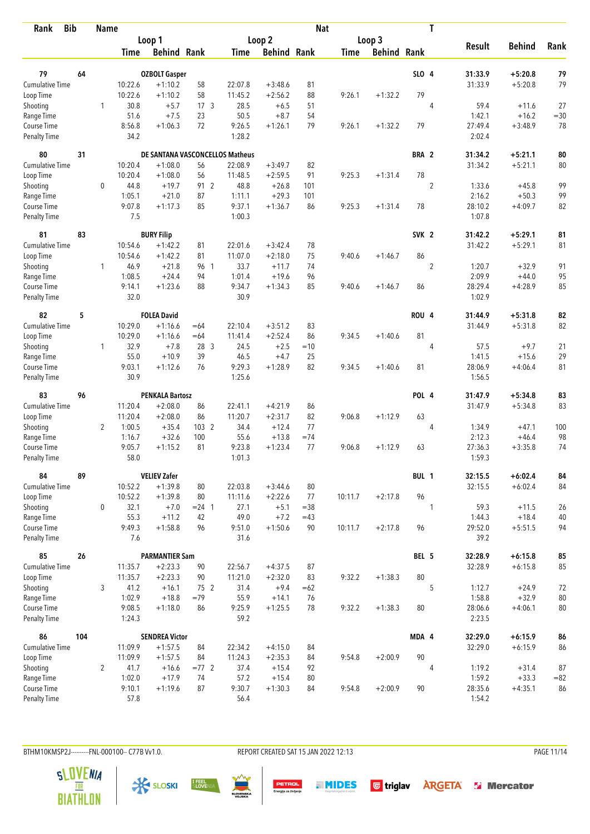| Rank                               | <b>Bib</b> |                | <b>Name</b>    |                                 |                 |                  |                    | <b>Nat</b> |             |                    |                  | T              |                   |               |        |
|------------------------------------|------------|----------------|----------------|---------------------------------|-----------------|------------------|--------------------|------------|-------------|--------------------|------------------|----------------|-------------------|---------------|--------|
|                                    |            |                |                | Loop 1                          |                 |                  | Loop <sub>2</sub>  |            |             | Loop 3             |                  |                |                   |               |        |
|                                    |            |                | Time           | <b>Behind Rank</b>              |                 | Time             | <b>Behind Rank</b> |            | <b>Time</b> | <b>Behind Rank</b> |                  |                | <b>Result</b>     | <b>Behind</b> | Rank   |
| 79                                 | 64         |                |                | <b>OZBOLT Gasper</b>            |                 |                  |                    |            |             |                    | SLO 4            |                | 31:33.9           | $+5:20.8$     | 79     |
| <b>Cumulative Time</b>             |            |                | 10:22.6        | $+1:10.2$                       | 58              | 22:07.8          | $+3:48.6$          | 81         |             |                    |                  |                | 31:33.9           | $+5:20.8$     | 79     |
| Loop Time                          |            |                | 10:22.6        | $+1:10.2$                       | 58              | 11:45.2          | $+2:56.2$          | 88         | 9:26.1      | $+1:32.2$          | 79               |                |                   |               |        |
| Shooting                           |            | 1              | 30.8           | $+5.7$                          | 17 <sub>3</sub> | 28.5             | $+6.5$             | 51         |             |                    |                  | $\overline{4}$ | 59.4              | $+11.6$       | 27     |
| Range Time                         |            |                | 51.6           | $+7.5$                          | 23              | 50.5             | $+8.7$             | 54         |             |                    |                  |                | 1:42.1            | $+16.2$       | $= 30$ |
| Course Time                        |            |                | 8:56.8         | $+1:06.3$                       | 72              | 9:26.5           | $+1:26.1$          | 79         | 9:26.1      | $+1:32.2$          | 79               |                | 27:49.4           | $+3:48.9$     | 78     |
| <b>Penalty Time</b>                |            |                | 34.2           |                                 |                 | 1:28.2           |                    |            |             |                    |                  |                | 2:02.4            |               |        |
| 80                                 | 31         |                |                | DE SANTANA VASCONCELLOS Matheus |                 |                  |                    |            |             |                    | BRA 2            |                | 31:34.2           | $+5:21.1$     | 80     |
| <b>Cumulative Time</b>             |            |                | 10:20.4        | $+1:08.0$                       | 56              | 22:08.9          | $+3:49.7$          | 82         |             |                    |                  |                | 31:34.2           | $+5:21.1$     | 80     |
| Loop Time                          |            |                | 10:20.4        | $+1:08.0$                       | 56              | 11:48.5          | $+2:59.5$          | 91         | 9:25.3      | $+1:31.4$          | 78               |                |                   |               |        |
| Shooting                           |            | $\mathbf 0$    | 44.8           | $+19.7$                         | 91 2            | 48.8             | $+26.8$            | 101        |             |                    |                  | $\overline{2}$ | 1:33.6            | $+45.8$       | 99     |
| Range Time                         |            |                | 1:05.1         | $+21.0$                         | 87              | 1:11.1           | $+29.3$            | 101        |             |                    |                  |                | 2:16.2            | $+50.3$       | 99     |
| Course Time                        |            |                | 9:07.8         | $+1:17.3$                       | 85              | 9:37.1           | $+1:36.7$          | 86         | 9:25.3      | $+1:31.4$          | 78               |                | 28:10.2           | $+4:09.7$     | 82     |
| <b>Penalty Time</b>                |            |                | 7.5            |                                 |                 | 1:00.3           |                    |            |             |                    |                  |                | 1:07.8            |               |        |
| 81                                 | 83         |                |                | <b>BURY Filip</b>               |                 |                  |                    |            |             |                    | SVK <sub>2</sub> |                | 31:42.2           | $+5:29.1$     | 81     |
| Cumulative Time                    |            |                | 10:54.6        | $+1:42.2$                       | 81              | 22:01.6          | $+3:42.4$          | 78         |             |                    |                  |                | 31:42.2           | $+5:29.1$     | 81     |
| Loop Time                          |            |                | 10:54.6        | $+1:42.2$                       | 81              | 11:07.0          | $+2:18.0$          | 75         | 9:40.6      | $+1:46.7$          | 86               |                |                   |               |        |
| Shooting                           |            | 1              | 46.9           | $+21.8$                         | 96 1            | 33.7             | $+11.7$            | 74         |             |                    |                  | $\sqrt{2}$     | 1:20.7            | $+32.9$       | 91     |
| Range Time                         |            |                | 1:08.5         | $+24.4$                         | 94              | 1:01.4           | $+19.6$            | 96         |             |                    |                  |                | 2:09.9            | $+44.0$       | 95     |
| Course Time                        |            |                | 9:14.1         | $+1:23.6$                       | 88              | 9:34.7           | $+1:34.3$          | 85         | 9:40.6      | $+1:46.7$          | 86               |                | 28:29.4           | $+4:28.9$     | 85     |
| <b>Penalty Time</b>                |            |                | 32.0           |                                 |                 | 30.9             |                    |            |             |                    |                  |                | 1:02.9            |               |        |
| 82                                 | 5          |                |                | <b>FOLEA David</b>              |                 |                  |                    |            |             |                    | <b>ROU 4</b>     |                | 31:44.9           | $+5:31.8$     | 82     |
| <b>Cumulative Time</b>             |            |                | 10:29.0        | $+1:16.6$                       | $=64$           | 22:10.4          | $+3:51.2$          | 83         |             |                    |                  |                | 31:44.9           | $+5:31.8$     | 82     |
| Loop Time                          |            |                | 10:29.0        | $+1:16.6$                       | $=64$           | 11:41.4          | $+2:52.4$          | 86         | 9:34.5      | $+1:40.6$          | 81               |                |                   |               |        |
| Shooting                           |            | $\mathbf{1}$   | 32.9           | $+7.8$                          | 28 3            | 24.5             | $+2.5$             | $=10$      |             |                    |                  | 4              | 57.5              | $+9.7$        | 21     |
| Range Time                         |            |                | 55.0           | $+10.9$                         | 39              | 46.5             | $+4.7$             | 25         |             |                    |                  |                | 1:41.5            | $+15.6$       | 29     |
| Course Time<br><b>Penalty Time</b> |            |                | 9:03.1<br>30.9 | $+1:12.6$                       | 76              | 9:29.3<br>1:25.6 | $+1:28.9$          | 82         | 9:34.5      | $+1:40.6$          | 81               |                | 28:06.9<br>1:56.5 | $+4:06.4$     | 81     |
|                                    |            |                |                |                                 |                 |                  |                    |            |             |                    |                  |                |                   |               |        |
| 83                                 | 96         |                |                | <b>PENKALA Bartosz</b>          |                 |                  |                    |            |             |                    | POL 4            |                | 31:47.9           | $+5:34.8$     | 83     |
| Cumulative Time                    |            |                | 11:20.4        | $+2:08.0$                       | 86              | 22:41.1          | $+4:21.9$          | 86         |             |                    |                  |                | 31:47.9           | $+5:34.8$     | 83     |
| Loop Time                          |            |                | 11:20.4        | $+2:08.0$                       | 86              | 11:20.7          | $+2:31.7$          | 82         | 9:06.8      | $+1:12.9$          | 63               |                |                   |               |        |
| Shooting                           |            | $\overline{2}$ | 1:00.5         | $+35.4$                         | 103 2           | 34.4             | $+12.4$            | 77         |             |                    |                  | 4              | 1:34.9            | $+47.1$       | 100    |
| Range Time                         |            |                | 1:16.7         | $+32.6$                         | 100             | 55.6             | $+13.8$            | $=74$      |             |                    |                  |                | 2:12.3            | $+46.4$       | 98     |
| Course Time                        |            |                | 9:05.7         | $+1:15.2$                       | 81              | 9:23.8           | $+1:23.4$          | 77         | 9:06.8      | $+1:12.9$          | 63               |                | 27:36.3           | $+3:35.8$     | 74     |
| <b>Penalty Time</b>                |            |                | 58.0           |                                 |                 | 1:01.3           |                    |            |             |                    |                  |                | 1:59.3            |               |        |
| 84                                 | 89         |                |                | <b>VELIEV Zafer</b>             |                 |                  |                    |            |             |                    | BUL 1            |                | 32:15.5           | $+6:02.4$     | 84     |
| <b>Cumulative Time</b>             |            |                | 10:52.2        | $+1:39.8$                       | 80              | 22:03.8          | $+3:44.6$          | 80         |             |                    |                  |                | 32:15.5           | $+6:02.4$     | 84     |
| Loop Time                          |            |                | 10:52.2        | $+1:39.8$                       | 80              | 11:11.6          | $+2:22.6$          | 77         | 10:11.7     | $+2:17.8$          | 96               |                |                   |               |        |
| Shooting                           |            | $\mathbf 0$    | 32.1           | $+7.0$                          | $= 24$ 1        | 27.1             | $+5.1$             | $= 38$     |             |                    |                  | 1              | 59.3              | $+11.5$       | 26     |
| Range Time                         |            |                | 55.3           | $+11.2$                         | 42              | 49.0             | $+7.2$             | $=43$      |             |                    |                  |                | 1:44.3            | $+18.4$       | 40     |
| Course Time<br>Penalty Time        |            |                | 9:49.3<br>7.6  | $+1:58.8$                       | 96              | 9:51.0<br>31.6   | $+1:50.6$          | 90         | 10:11.7     | $+2:17.8$          | 96               |                | 29:52.0<br>39.2   | $+5:51.5$     | 94     |
| 85                                 | 26         |                |                | <b>PARMANTIER Sam</b>           |                 |                  |                    |            |             |                    | BEL 5            |                | 32:28.9           | $+6:15.8$     | 85     |
| <b>Cumulative Time</b>             |            |                | 11:35.7        | $+2:23.3$                       | 90              | 22:56.7          | $+4:37.5$          | 87         |             |                    |                  |                | 32:28.9           | $+6:15.8$     | 85     |
| Loop Time                          |            |                | 11:35.7        | $+2:23.3$                       | 90              | 11:21.0          | $+2:32.0$          | 83         | 9:32.2      | $+1:38.3$          | 80               |                |                   |               |        |
| Shooting                           |            | 3              | 41.2           | $+16.1$                         | 75 2            | 31.4             | $+9.4$             | $=62$      |             |                    |                  | 5              | 1:12.7            | $+24.9$       | 72     |
| Range Time                         |            |                | 1:02.9         | $+18.8$                         | $=79$           | 55.9             | $+14.1$            | 76         |             |                    |                  |                | 1:58.8            | $+32.9$       | 80     |
| Course Time                        |            |                | 9:08.5         | $+1:18.0$                       | 86              | 9:25.9           | $+1:25.5$          | 78         | 9:32.2      | $+1:38.3$          | 80               |                | 28:06.6           | $+4:06.1$     | 80     |
| <b>Penalty Time</b>                |            |                | 1:24.3         |                                 |                 | 59.2             |                    |            |             |                    |                  |                | 2:23.5            |               |        |
| 86                                 | 104        |                |                | <b>SENDREA Victor</b>           |                 |                  |                    |            |             |                    | MDA 4            |                | 32:29.0           | $+6:15.9$     | 86     |
| <b>Cumulative Time</b>             |            |                | 11:09.9        | $+1:57.5$                       | 84              | 22:34.2          | $+4:15.0$          | 84         |             |                    |                  |                | 32:29.0           | $+6:15.9$     | 86     |
| Loop Time                          |            |                | 11:09.9        | $+1:57.5$                       | 84              | 11:24.3          | $+2:35.3$          | 84         | 9:54.8      | $+2:00.9$          | 90               |                |                   |               |        |
| Shooting                           |            | $\overline{2}$ | 41.7           | $+16.6$                         | $= 772$         | 37.4             | $+15.4$            | 92         |             |                    |                  | 4              | 1:19.2            | $+31.4$       | 87     |
| Range Time                         |            |                | 1:02.0         | $+17.9$                         | 74              | 57.2             | $+15.4$            | 80         |             |                    |                  |                | 1:59.2            | $+33.3$       | $= 82$ |
| Course Time                        |            |                | 9:10.1         | $+1:19.6$                       | 87              | 9:30.7           | $+1:30.3$          | 84         | 9:54.8      | $+2:00.9$          | 90               |                | 28:35.6           | $+4:35.1$     | 86     |
| <b>Penalty Time</b>                |            |                | 57.8           |                                 |                 | 56.4             |                    |            |             |                    |                  |                | 1:54.2            |               |        |

BTHM10KMSP2J---------FNL-000100-- C77B Vv1.0. REPORT CREATED SAT 15 JAN 2022 12:13 PAGE 11/14

**PETROL**<br>Energija za življenje

**THIDES** Gtriglav **ARGETA** & Mercator





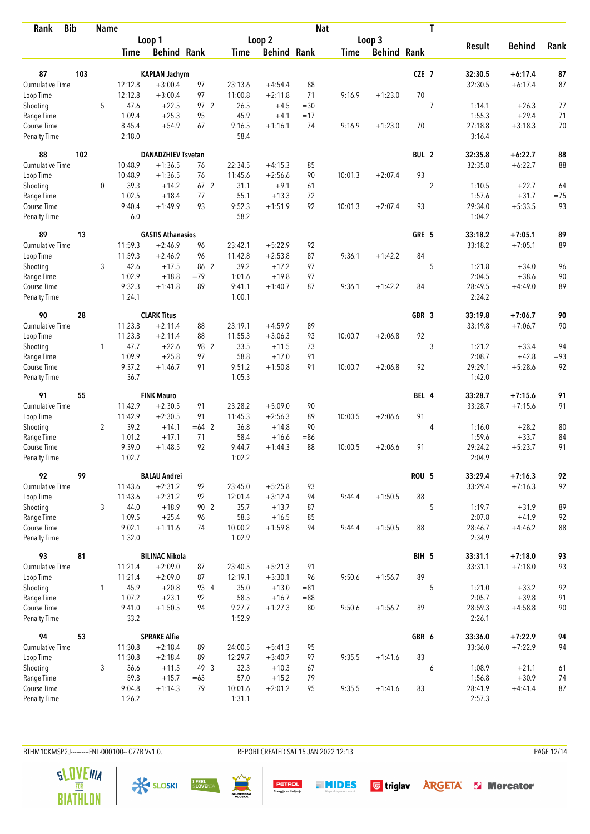| <b>Bib</b><br>Rank          |     | <b>Name</b>    |                    |                           |          |                   |                    | <b>Nat</b> |             |                    |                  | T              |                   |               |          |
|-----------------------------|-----|----------------|--------------------|---------------------------|----------|-------------------|--------------------|------------|-------------|--------------------|------------------|----------------|-------------------|---------------|----------|
|                             |     |                |                    | Loop 1                    |          |                   | Loop 2             |            |             | Loop 3             |                  |                |                   |               |          |
|                             |     |                | Time               | <b>Behind Rank</b>        |          | <b>Time</b>       | <b>Behind Rank</b> |            | <b>Time</b> | <b>Behind Rank</b> |                  |                | <b>Result</b>     | <b>Behind</b> | Rank     |
| 87                          | 103 |                |                    | <b>KAPLAN Jachym</b>      |          |                   |                    |            |             |                    | CZE 7            |                | 32:30.5           | $+6:17.4$     |          |
| <b>Cumulative Time</b>      |     |                |                    | $+3:00.4$                 |          | 23:13.6           | $+4:54.4$          | 88         |             |                    |                  |                |                   |               | 87<br>87 |
|                             |     |                | 12:12.8<br>12:12.8 | $+3:00.4$                 | 97<br>97 | 11:00.8           | $+2:11.8$          | 71         | 9:16.9      | $+1:23.0$          | 70               |                | 32:30.5           | $+6:17.4$     |          |
| Loop Time<br>Shooting       |     | 5              | 47.6               | $+22.5$                   | 97 2     | 26.5              | $+4.5$             | $=30$      |             |                    |                  | 7              | 1:14.1            | $+26.3$       | 77       |
| Range Time                  |     |                | 1:09.4             | $+25.3$                   | 95       | 45.9              | $+4.1$             | $=17$      |             |                    |                  |                | 1:55.3            | $+29.4$       | 71       |
| Course Time                 |     |                | 8:45.4             | $+54.9$                   | 67       | 9:16.5            | $+1:16.1$          | 74         | 9:16.9      | $+1:23.0$          | 70               |                | 27:18.8           | $+3:18.3$     | 70       |
| <b>Penalty Time</b>         |     |                | 2:18.0             |                           |          | 58.4              |                    |            |             |                    |                  |                | 3:16.4            |               |          |
| 88                          | 102 |                |                    | <b>DANADZHIEV Tsvetan</b> |          |                   |                    |            |             |                    | BUL <sub>2</sub> |                | 32:35.8           | $+6:22.7$     | 88       |
| Cumulative Time             |     |                | 10:48.9            | $+1:36.5$                 | 76       | 22:34.5           | $+4:15.3$          | 85         |             |                    |                  |                | 32:35.8           | $+6:22.7$     | 88       |
| Loop Time                   |     |                | 10:48.9            | $+1:36.5$                 | 76       | 11:45.6           | $+2:56.6$          | 90         | 10:01.3     | $+2:07.4$          | 93               |                |                   |               |          |
| Shooting                    |     | 0              | 39.3               | $+14.2$                   | 67 2     | 31.1              | $+9.1$             | 61         |             |                    |                  | $\overline{2}$ | 1:10.5            | $+22.7$       | 64       |
| Range Time                  |     |                | 1:02.5             | $+18.4$                   | 77       | 55.1              | $+13.3$            | 72         |             |                    |                  |                | 1:57.6            | $+31.7$       | $=75$    |
| Course Time                 |     |                | 9:40.4             | $+1:49.9$                 | 93       | 9:52.3            | $+1:51.9$          | 92         | 10:01.3     | $+2:07.4$          | 93               |                | 29:34.0           | $+5:33.5$     | 93       |
| <b>Penalty Time</b>         |     |                | 6.0                |                           |          | 58.2              |                    |            |             |                    |                  |                | 1:04.2            |               |          |
| 89                          | 13  |                |                    | <b>GASTIS Athanasios</b>  |          |                   |                    |            |             |                    | GRE 5            |                | 33:18.2           | $+7:05.1$     | 89       |
| <b>Cumulative Time</b>      |     |                | 11:59.3            | $+2:46.9$                 | 96       | 23:42.1           | $+5:22.9$          | 92         |             |                    |                  |                | 33:18.2           | $+7:05.1$     | 89       |
| Loop Time                   |     |                | 11:59.3            | $+2:46.9$                 | 96       | 11:42.8           | $+2:53.8$          | 87         | 9:36.1      | $+1:42.2$          | 84               |                |                   |               |          |
| Shooting                    |     | 3              | 42.6               | $+17.5$                   | 86 2     | 39.2              | $+17.2$            | 97         |             |                    |                  | 5              | 1:21.8            | $+34.0$       | 96       |
| Range Time                  |     |                | 1:02.9             | $+18.8$                   | $=79$    | 1:01.6            | $+19.8$            | 97         |             |                    |                  |                | 2:04.5            | $+38.6$       | 90       |
| Course Time                 |     |                | 9:32.3             | $+1:41.8$                 | 89       | 9:41.1            | $+1:40.7$          | 87         | 9:36.1      | $+1:42.2$          | 84               |                | 28:49.5           | $+4:49.0$     | 89       |
| <b>Penalty Time</b>         |     |                | 1:24.1             |                           |          | 1:00.1            |                    |            |             |                    |                  |                | 2:24.2            |               |          |
| 90                          | 28  |                |                    | <b>CLARK Titus</b>        |          |                   |                    |            |             |                    | GBR <sub>3</sub> |                | 33:19.8           | $+7:06.7$     | 90       |
| Cumulative Time             |     |                | 11:23.8            | $+2:11.4$                 | 88       | 23:19.1           | $+4:59.9$          | 89         |             |                    |                  |                | 33:19.8           | $+7:06.7$     | 90       |
| Loop Time                   |     |                | 11:23.8            | $+2:11.4$                 | 88       | 11:55.3           | $+3:06.3$          | 93         | 10:00.7     | $+2:06.8$          | 92               |                |                   |               |          |
| Shooting                    |     | 1              | 47.7               | $+22.6$                   | 98 2     | 33.5              | $+11.5$            | 73         |             |                    |                  | 3              | 1:21.2            | $+33.4$       | 94       |
| Range Time                  |     |                | 1:09.9             | $+25.8$                   | 97       | 58.8              | $+17.0$            | 91         |             |                    |                  |                | 2:08.7            | $+42.8$       | $= 93$   |
| Course Time                 |     |                | 9:37.2             | $+1:46.7$                 | 91       | 9:51.2            | $+1:50.8$          | 91         | 10:00.7     | $+2:06.8$          | 92               |                | 29:29.1           | $+5:28.6$     | 92       |
| <b>Penalty Time</b>         |     |                | 36.7               |                           |          | 1:05.3            |                    |            |             |                    |                  |                | 1:42.0            |               |          |
| 91                          | 55  |                |                    | <b>FINK Mauro</b>         |          |                   |                    |            |             |                    | BEL 4            |                | 33:28.7           | $+7:15.6$     | 91       |
| Cumulative Time             |     |                | 11:42.9            | $+2:30.5$                 | 91       | 23:28.2           | $+5:09.0$          | 90         |             |                    |                  |                | 33:28.7           | $+7:15.6$     | 91       |
| Loop Time                   |     |                | 11:42.9            | $+2:30.5$                 | 91       | 11:45.3           | $+2:56.3$          | 89         | 10:00.5     | $+2:06.6$          | 91               |                |                   |               |          |
| Shooting                    |     | $\overline{2}$ | 39.2               | $+14.1$                   | $=64$ 2  | 36.8              | $+14.8$            | 90         |             |                    |                  | 4              | 1:16.0            | $+28.2$       | 80       |
| Range Time                  |     |                | 1:01.2             | $+17.1$                   | 71       | 58.4              | $+16.6$            | $= 86$     |             |                    |                  |                | 1:59.6            | $+33.7$       | 84       |
| Course Time                 |     |                | 9:39.0             | $+1:48.5$                 | 92       | 9:44.7            | $+1:44.3$          | 88         | 10:00.5     | $+2:06.6$          | 91               |                | 29:24.2           | $+5:23.7$     | 91       |
| <b>Penalty Time</b>         |     |                | 1:02.7             |                           |          | 1:02.2            |                    |            |             |                    |                  |                | 2:04.9            |               |          |
| 92                          | 99  |                |                    | <b>BALAU Andrei</b>       |          |                   |                    |            |             |                    | ROU <sub>5</sub> |                | 33:29.4           | $+7:16.3$     | 92       |
| <b>Cumulative Time</b>      |     |                | 11:43.6            | $+2:31.2$                 | 92       | 23:45.0           | $+5:25.8$          | 93         |             |                    |                  |                | 33:29.4           | $+7:16.3$     | 92       |
| Loop Time                   |     |                | 11:43.6            | $+2:31.2$                 | 92       | 12:01.4           | $+3:12.4$          | 94         | 9:44.4      | $+1:50.5$          | 88               |                |                   |               |          |
| Shooting                    |     | 3              | 44.0               | $+18.9$                   | 90 2     | 35.7              | $+13.7$            | 87         |             |                    |                  | 5              | 1:19.7            | $+31.9$       | 89       |
| Range Time                  |     |                | 1:09.5             | $+25.4$                   | 96       | 58.3              | $+16.5$            | 85         |             |                    |                  |                | 2:07.8            | $+41.9$       | 92       |
| Course Time<br>Penalty Time |     |                | 9:02.1<br>1:32.0   | $+1:11.6$                 | 74       | 10:00.2<br>1:02.9 | $+1:59.8$          | 94         | 9:44.4      | $+1:50.5$          | 88               |                | 28:46.7<br>2:34.9 | $+4:46.2$     | 88       |
| 93                          | 81  |                |                    | <b>BILINAC Nikola</b>     |          |                   |                    |            |             |                    | BIH 5            |                | 33:31.1           | $+7:18.0$     | 93       |
| <b>Cumulative Time</b>      |     |                | 11:21.4            | $+2:09.0$                 | 87       | 23:40.5           | $+5:21.3$          | 91         |             |                    |                  |                | 33:31.1           | $+7:18.0$     | 93       |
| Loop Time                   |     |                | 11:21.4            | $+2:09.0$                 | 87       | 12:19.1           | $+3:30.1$          | 96         | 9:50.6      | $+1:56.7$          | 89               |                |                   |               |          |
| Shooting                    |     | $\mathbf{1}$   | 45.9               | $+20.8$                   | 93 4     | 35.0              | $+13.0$            | $= 81$     |             |                    |                  | 5              | 1:21.0            | $+33.2$       | 92       |
| Range Time                  |     |                | 1:07.2             | $+23.1$                   | 92       | 58.5              | $+16.7$            | $= 88$     |             |                    |                  |                | 2:05.7            | $+39.8$       | 91       |
| Course Time                 |     |                | 9:41.0             | $+1:50.5$                 | 94       | 9:27.7            | $+1:27.3$          | 80         | 9:50.6      | $+1:56.7$          | 89               |                | 28:59.3           | $+4:58.8$     | $90\,$   |
| Penalty Time                |     |                | 33.2               |                           |          | 1:52.9            |                    |            |             |                    |                  |                | 2:26.1            |               |          |
| 94                          | 53  |                |                    | <b>SPRAKE Alfie</b>       |          |                   |                    |            |             |                    | GBR 6            |                | 33:36.0           | $+7:22.9$     | 94       |
| Cumulative Time             |     |                | 11:30.8            | $+2:18.4$                 | 89       | 24:00.5           | $+5:41.3$          | 95         |             |                    |                  |                | 33:36.0           | $+7:22.9$     | 94       |
| Loop Time                   |     |                | 11:30.8            | $+2:18.4$                 | 89       | 12:29.7           | $+3:40.7$          | 97         | 9:35.5      | $+1:41.6$          | 83               |                |                   |               |          |
| Shooting                    |     | 3              | 36.6               | $+11.5$                   | 49 3     | 32.3              | $+10.3$            | 67         |             |                    |                  | 6              | 1:08.9            | $+21.1$       | 61       |
| Range Time                  |     |                | 59.8               | $+15.7$                   | $=63$    | 57.0              | $+15.2$            | 79         |             |                    |                  |                | 1:56.8            | $+30.9$       | 74       |
| Course Time                 |     |                | 9:04.8             | $+1:14.3$                 | 79       | 10:01.6           | $+2:01.2$          | 95         | 9:35.5      | $+1:41.6$          | 83               |                | 28:41.9           | $+4:41.4$     | 87       |
| Penalty Time                |     |                | 1:26.2             |                           |          | 1:31.1            |                    |            |             |                    |                  |                | 2:57.3            |               |          |

BTHM10KMSP2J---------FNL-000100-- C77B Vv1.0. REPORT CREATED SAT 15 JAN 2022 12:13 PAGE 12/14











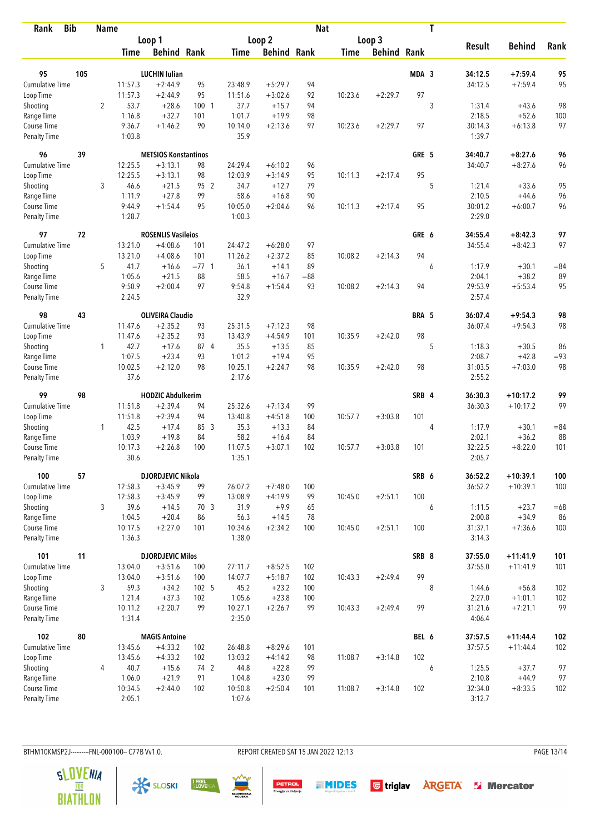| <b>Bib</b><br>Rank          |     | <b>Name</b>    |                   |                             |           |                   |                      | <b>Nat</b> |             |                    |       | T |                   |                      |           |
|-----------------------------|-----|----------------|-------------------|-----------------------------|-----------|-------------------|----------------------|------------|-------------|--------------------|-------|---|-------------------|----------------------|-----------|
|                             |     |                |                   | Loop 1                      |           | Loop 2            |                      |            |             | Loop 3             |       |   |                   |                      |           |
|                             |     |                | Time              | <b>Behind Rank</b>          |           | Time              | <b>Behind Rank</b>   |            | <b>Time</b> | <b>Behind Rank</b> |       |   | <b>Result</b>     | <b>Behind</b>        | Rank      |
| 95                          | 105 |                |                   | <b>LUCHIN Iulian</b>        |           |                   |                      |            |             |                    | MDA 3 |   | 34:12.5           | $+7:59.4$            | 95        |
| <b>Cumulative Time</b>      |     |                | 11:57.3           | $+2:44.9$                   | 95        | 23:48.9           | $+5:29.7$            | 94         |             |                    |       |   | 34:12.5           | $+7:59.4$            | 95        |
| Loop Time                   |     |                | 11:57.3           | $+2:44.9$                   | 95        | 11:51.6           | $+3:02.6$            | 92         | 10:23.6     | $+2:29.7$          | 97    |   |                   |                      |           |
| Shooting                    |     | $\overline{2}$ | 53.7              | $+28.6$                     | 100 1     | 37.7              | $+15.7$              | 94         |             |                    |       | 3 | 1:31.4            | $+43.6$              | 98        |
| Range Time                  |     |                | 1:16.8            | $+32.7$                     | 101       | 1:01.7            | $+19.9$              | 98         |             |                    |       |   | 2:18.5            | $+52.6$              | 100       |
| Course Time                 |     |                | 9:36.7            | $+1:46.2$                   | 90        | 10:14.0           | $+2:13.6$            | 97         | 10:23.6     | $+2:29.7$          | 97    |   | 30:14.3           | $+6:13.8$            | 97        |
| <b>Penalty Time</b>         |     |                | 1:03.8            |                             |           | 35.9              |                      |            |             |                    |       |   | 1:39.7            |                      |           |
| 96                          | 39  |                |                   | <b>METSIOS Konstantinos</b> |           |                   |                      |            |             |                    | GRE 5 |   | 34:40.7           | $+8:27.6$            | 96        |
| Cumulative Time             |     |                | 12:25.5           | $+3:13.1$                   | 98        | 24:29.4           | $+6:10.2$            | 96         |             |                    |       |   | 34:40.7           | $+8:27.6$            | 96        |
| Loop Time                   |     |                | 12:25.5           | $+3:13.1$                   | 98        | 12:03.9           | $+3:14.9$            | 95         | 10:11.3     | $+2:17.4$          | 95    |   |                   |                      |           |
| Shooting                    |     | 3              | 46.6              | $+21.5$                     | 95 2      | 34.7              | $+12.7$              | 79         |             |                    |       | 5 | 1:21.4            | $+33.6$              | 95        |
| Range Time                  |     |                | 1:11.9            | $+27.8$                     | 99        | 58.6              | $+16.8$              | 90         |             |                    |       |   | 2:10.5            | $+44.6$              | 96        |
| Course Time                 |     |                | 9:44.9            | $+1:54.4$                   | 95        | 10:05.0           | $+2:04.6$            | 96         | 10:11.3     | $+2:17.4$          | 95    |   | 30:01.2           | $+6:00.7$            | 96        |
| Penalty Time                |     |                | 1:28.7            |                             |           | 1:00.3            |                      |            |             |                    |       |   | 2:29.0            |                      |           |
| 97                          | 72  |                |                   | <b>ROSENLIS Vasileios</b>   |           |                   |                      |            |             |                    | GRE 6 |   | 34:55.4           | $+8:42.3$            | 97        |
| <b>Cumulative Time</b>      |     |                | 13:21.0           | $+4:08.6$                   | 101       | 24:47.2           | $+6:28.0$            | 97         |             |                    |       |   | 34:55.4           | $+8:42.3$            | 97        |
| Loop Time                   |     |                | 13:21.0           | $+4:08.6$                   | 101       | 11:26.2           | $+2:37.2$            | 85         | 10:08.2     | $+2:14.3$          | 94    |   |                   |                      |           |
| Shooting                    |     | 5              | 41.7              | $+16.6$                     | $= 77.1$  | 36.1              | $+14.1$              | 89         |             |                    |       | 6 | 1:17.9            | $+30.1$              | $= 84$    |
| Range Time                  |     |                | 1:05.6            | $+21.5$                     | 88        | 58.5              | $+16.7$              | $= 88$     |             |                    |       |   | 2:04.1            | $+38.2$              | 89        |
| Course Time<br>Penalty Time |     |                | 9:50.9<br>2:24.5  | $+2:00.4$                   | 97        | 9:54.8<br>32.9    | $+1:54.4$            | 93         | 10:08.2     | $+2:14.3$          | 94    |   | 29:53.9<br>2:57.4 | $+5:53.4$            | 95        |
| 98                          | 43  |                |                   | <b>OLIVEIRA Claudio</b>     |           |                   |                      |            |             |                    | BRA 5 |   | 36:07.4           | $+9:54.3$            | 98        |
| <b>Cumulative Time</b>      |     |                | 11:47.6           | $+2:35.2$                   | 93        | 25:31.5           | $+7:12.3$            | 98         |             |                    |       |   | 36:07.4           | $+9:54.3$            | 98        |
| Loop Time                   |     |                | 11:47.6           | $+2:35.2$                   | 93        | 13:43.9           | $+4:54.9$            | 101        | 10:35.9     | $+2:42.0$          | 98    |   |                   |                      |           |
| Shooting                    |     | $\mathbf{1}$   | 42.7              | $+17.6$                     | 87 4      | 35.5              | $+13.5$              | 85         |             |                    |       | 5 | 1:18.3            | $+30.5$              | 86        |
| Range Time                  |     |                | 1:07.5            | $+23.4$                     | 93        | 1:01.2            | $+19.4$              | 95         |             |                    |       |   | 2:08.7            | $+42.8$              | $= 93$    |
| Course Time                 |     |                | 10:02.5<br>37.6   | $+2:12.0$                   | 98        | 10:25.1<br>2:17.6 | $+2:24.7$            | 98         | 10:35.9     | $+2:42.0$          | 98    |   | 31:03.5<br>2:55.2 | $+7:03.0$            | 98        |
| <b>Penalty Time</b>         |     |                |                   |                             |           |                   |                      |            |             |                    |       |   |                   |                      |           |
| 99                          | 98  |                |                   | <b>HODZIC Abdulkerim</b>    |           |                   |                      |            |             |                    | SRB 4 |   | 36:30.3           | $+10:17.2$           | 99        |
| Cumulative Time             |     |                | 11:51.8           | $+2:39.4$                   | 94        | 25:32.6           | $+7:13.4$            | 99         |             |                    |       |   | 36:30.3           | $+10:17.2$           | 99        |
| Loop Time                   |     |                | 11:51.8           | $+2:39.4$                   | 94        | 13:40.8           | $+4:51.8$            | 100        | 10:57.7     | $+3:03.8$          | 101   |   |                   |                      |           |
| Shooting                    |     | $\mathbf{1}$   | 42.5              | $+17.4$                     | 85 3      | 35.3              | $+13.3$              | 84         |             |                    |       | 4 | 1:17.9            | $+30.1$              | $= 84$    |
| Range Time<br>Course Time   |     |                | 1:03.9<br>10:17.3 | $+19.8$<br>$+2:26.8$        | 84<br>100 | 58.2<br>11:07.5   | $+16.4$<br>$+3:07.1$ | 84<br>102  | 10:57.7     | $+3:03.8$          | 101   |   | 2:02.1<br>32:22.5 | $+36.2$<br>$+8:22.0$ | 88<br>101 |
| <b>Penalty Time</b>         |     |                | 30.6              |                             |           | 1:35.1            |                      |            |             |                    |       |   | 2:05.7            |                      |           |
| 100                         | 57  |                |                   | DJORDJEVIC Nikola           |           |                   |                      |            |             |                    | SRB 6 |   | 36:52.2           | $+10:39.1$           | 100       |
| <b>Cumulative Time</b>      |     |                | 12:58.3           | $+3:45.9$                   | 99        | 26:07.2           | $+7:48.0$            | 100        |             |                    |       |   | 36:52.2           | $+10:39.1$           | 100       |
| Loop Time                   |     |                | 12:58.3           | $+3:45.9$                   | 99        | 13:08.9           | $+4:19.9$            | 99         | 10:45.0     | $+2:51.1$          | 100   |   |                   |                      |           |
| Shooting                    |     | 3              | 39.6              | $+14.5$                     | 70 3      | 31.9              | $+9.9$               | 65         |             |                    |       | 6 | 1:11.5            | $+23.7$              | $=68$     |
| Range Time                  |     |                | 1:04.5            | $+20.4$                     | 86        | 56.3              | $+14.5$              | 78         |             |                    |       |   | 2:00.8            | $+34.9$              | 86        |
| Course Time                 |     |                | 10:17.5           | $+2:27.0$                   | 101       | 10:34.6           | $+2:34.2$            | 100        | 10:45.0     | $+2:51.1$          | 100   |   | 31:37.1           | $+7:36.6$            | 100       |
| Penalty Time                |     |                | 1:36.3            |                             |           | 1:38.0            |                      |            |             |                    |       |   | 3:14.3            |                      |           |
| 101                         | 11  |                |                   | <b>DJORDJEVIC Milos</b>     |           |                   |                      |            |             |                    | SRB 8 |   | 37:55.0           | $+11:41.9$           | 101       |
| Cumulative Time             |     |                | 13:04.0           | $+3:51.6$                   | 100       | 27:11.7           | $+8:52.5$            | 102        |             |                    |       |   | 37:55.0           | $+11:41.9$           | 101       |
| Loop Time                   |     |                | 13:04.0           | $+3:51.6$                   | 100       | 14:07.7           | $+5:18.7$            | 102        | 10:43.3     | $+2:49.4$          | 99    |   |                   |                      |           |
| Shooting                    |     | 3              | 59.3              | $+34.2$                     | 102 5     | 45.2              | $+23.2$              | 100        |             |                    |       | 8 | 1:44.6            | $+56.8$              | 102       |
| Range Time                  |     |                | 1:21.4            | $+37.3$                     | 102       | 1:05.6            | $+23.8$              | 100        |             |                    |       |   | 2:27.0            | $+1:01.1$            | 102       |
| Course Time<br>Penalty Time |     |                | 10:11.2<br>1:31.4 | $+2:20.7$                   | 99        | 10:27.1<br>2:35.0 | $+2:26.7$            | 99         | 10:43.3     | $+2:49.4$          | 99    |   | 31:21.6<br>4:06.4 | $+7:21.1$            | 99        |
| 102                         | 80  |                |                   | <b>MAGIS Antoine</b>        |           |                   |                      |            |             |                    | BEL 6 |   | 37:57.5           | $+11:44.4$           | 102       |
| Cumulative Time             |     |                | 13:45.6           | $+4:33.2$                   | 102       | 26:48.8           | $+8:29.6$            | 101        |             |                    |       |   | 37:57.5           | $+11:44.4$           | 102       |
| Loop Time                   |     |                | 13:45.6           | $+4:33.2$                   | 102       | 13:03.2           | $+4:14.2$            | 98         | 11:08.7     | $+3:14.8$          | 102   |   |                   |                      |           |
| Shooting                    |     | 4              | 40.7              | $+15.6$                     | 74 2      | 44.8              | $+22.8$              | 99         |             |                    |       | 6 | 1:25.5            | $+37.7$              | 97        |
| Range Time                  |     |                | 1:06.0            | $+21.9$                     | 91        | 1:04.8            | $+23.0$              | 99         |             |                    |       |   | 2:10.8            | $+44.9$              | 97        |
| Course Time                 |     |                | 10:34.5           | $+2:44.0$                   | 102       | 10:50.8           | $+2:50.4$            | 101        | 11:08.7     | $+3:14.8$          | 102   |   | 32:34.0           | $+8:33.5$            | 102       |
| Penalty Time                |     |                | 2:05.1            |                             |           | 1:07.6            |                      |            |             |                    |       |   | 3:12.7            |                      |           |

BTHM10KMSP2J---------FNL-000100-- C77B Vv1.0. REPORT CREATED SAT 15 JAN 2022 12:13 PAGE 13/14

SLOSKI IFEEL

**SLOVENIA**<br>BIATHLON

**PETROL**<br>Energija za življenje

SLOVENSK

**THIDES** Gtriglav **ARGETA** S Mercator